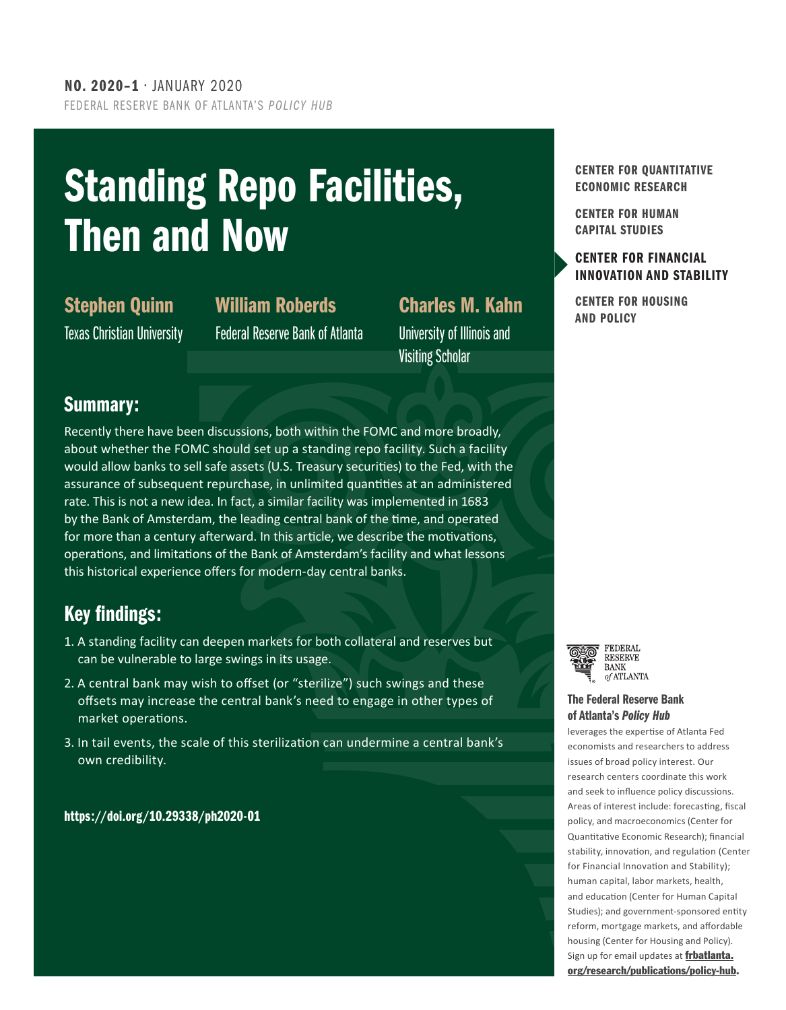# **Standing Repo Facilities,** Then and Now

Texas Christian University

**Stephen Quinn Milliam Roberds Charles M. Kahn CENTER FOR** William Roberds Federal Reserve Bank of Atlanta

Charles M. Kahn University of Illinois and Visiting Scholar

# Summary:

Recently there have been discussions, both within the FOMC and more broadly, about whether the FOMC should set up a standing repo facility. Such a facility would allow banks to sell safe assets (U.S. Treasury securities) to the Fed, with the assurance of subsequent repurchase, in unlimited quantities at an administered rate. This is not a new idea. In fact, a similar facility was implemented in 1683 by the Bank of Amsterdam, the leading central bank of the time, and operated for more than a century afterward. In this article, we describe the motivations, operations, and limitations of the Bank of Amsterdam's facility and what lessons this historical experience offers for modern-day central banks.

# Key findings:

- 1. A standing facility can deepen markets for both collateral and reserves but can be vulnerable to large swings in its usage.
- 2. A central bank may wish to offset (or "sterilize") such swings and these offsets may increase the central bank's need to engage in other types of market operations.
- 3. In tail events, the scale of this sterilization can undermine a central bank's own credibility.

#### <https://doi.org/10.29338/ph2020-01>

CENTER FOR QUANTITATIVE ECONOMIC RESEARCH

CENTER FOR HUMAN CAPITAL STUDIES

#### CENTER FOR FINANCIAL [INNOVATION AND STABILITY](https://www.frbatlanta.org/cenfis.aspx)

CENTER FOR HOUSING



#### [The Federal Reserve Bank](http://frbatlanta.org/research/publications/policy-hub.aspx) of Atlanta's *Policy Hub*

leverages the expertise of Atlanta Fed economists and researchers to address issues of broad policy interest. Our research centers coordinate this work and seek to influence policy discussions. Areas of interest include: forecasting, fiscal policy, and macroeconomics (Center for Quantitative Economic Research); financial stability, innovation, and regulation (Center for Financial Innovation and Stability); human capital, labor markets, health, and education (Center for Human Capital Studies); and government-sponsored entity reform, mortgage markets, and affordable housing (Center for Housing and Policy). Sign up for email updates at **[frbatlanta.](https://frbatlanta.org/research/publications/policy-hub.aspx)** [org/research/publications/policy-hub](https://frbatlanta.org/research/publications/policy-hub.aspx).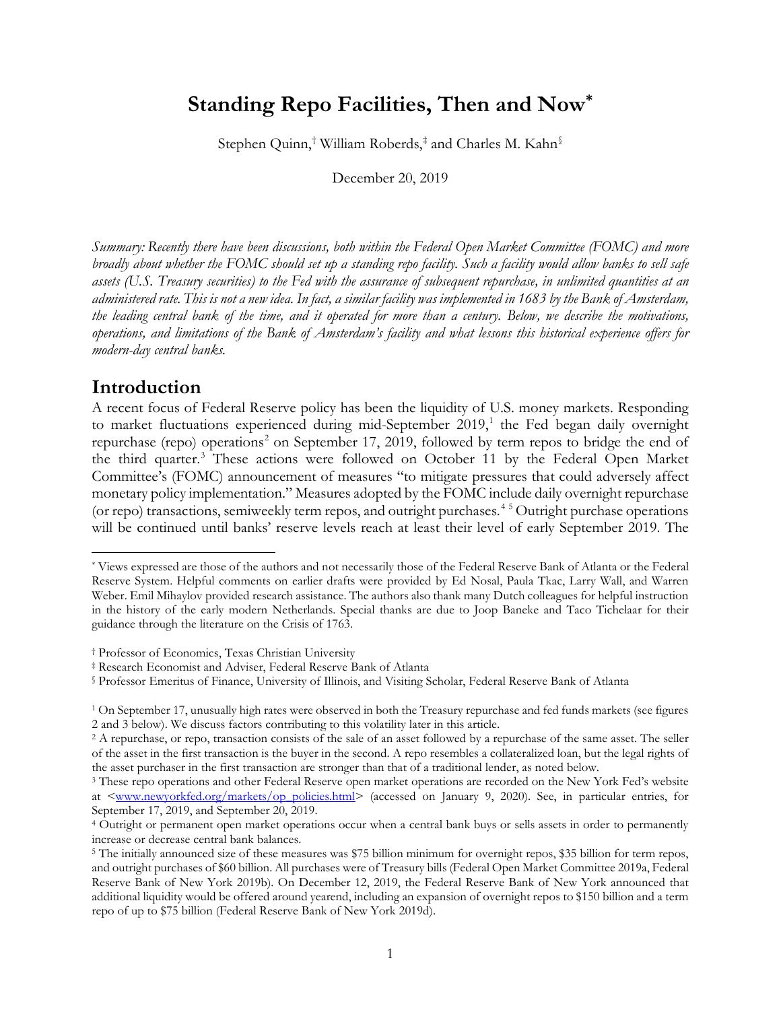# **Standing Repo Facilities, Then and Now [\\*](#page-1-0)**

Stephen Quinn,[†](#page-1-1) William Roberds, [‡](#page-1-2) and Charles M. Kahn[§](#page-1-3)

December 20, 2019

*Summary: Recently there have been discussions, both within the Federal Open Market Committee (FOMC) and more broadly about whether the FOMC should set up a standing repo facility. Such a facility would allow banks to sell safe assets (U.S. Treasury securities) to the Fed with the assurance of subsequent repurchase, in unlimited quantities at an administered rate. This is not a new idea. In fact, a similar facility was implemented in 1683 by the Bank of Amsterdam, the leading central bank of the time, and it operated for more than a century. Below, we describe the motivations, operations, and limitations of the Bank of Amsterdam's facility and what lessons this historical experience offers for modern-day central banks.*

## **Introduction**

 $\overline{a}$ 

A recent focus of Federal Reserve policy has been the liquidity of U.S. money markets. Responding to market fluctuations experienced during mid-September 2019, [1](#page-1-4) the Fed began daily overnight repurchase (repo) operations<sup>[2](#page-1-5)</sup> on September 17, 2019, followed by term repos to bridge the end of the third quarter.<sup>[3](#page-1-6)</sup> These actions were followed on October 11 by the Federal Open Market Committee's (FOMC) announcement of measures "to mitigate pressures that could adversely affect monetary policy implementation." Measures adopted by the FOMC include daily overnight repurchase (or repo) transactions, semiweekly term repos, and outright purchases.<sup>[4](#page-1-7)[5](#page-1-8)</sup> Outright purchase operations will be continued until banks' reserve levels reach at least their level of early September 2019. The

<span id="page-1-0"></span><sup>\*</sup> Views expressed are those of the authors and not necessarily those of the Federal Reserve Bank of Atlanta or the Federal Reserve System. Helpful comments on earlier drafts were provided by Ed Nosal, Paula Tkac, Larry Wall, and Warren Weber. Emil Mihaylov provided research assistance. The authors also thank many Dutch colleagues for helpful instruction in the history of the early modern Netherlands. Special thanks are due to Joop Baneke and Taco Tichelaar for their guidance through the literature on the Crisis of 1763.

<span id="page-1-1"></span><sup>†</sup> Professor of Economics, Texas Christian University

<span id="page-1-2"></span><sup>‡</sup> Research Economist and Adviser, Federal Reserve Bank of Atlanta

<span id="page-1-3"></span><sup>§</sup> Professor Emeritus of Finance, University of Illinois, and Visiting Scholar, Federal Reserve Bank of Atlanta

<span id="page-1-4"></span><sup>1</sup> On September 17, unusually high rates were observed in both the Treasury repurchase and fed funds markets (see figures 2 and 3 below). We discuss factors contributing to this volatility later in this article.

<span id="page-1-5"></span><sup>&</sup>lt;sup>2</sup> A repurchase, or repo, transaction consists of the sale of an asset followed by a repurchase of the same asset. The seller of the asset in the first transaction is the buyer in the second. A repo resembles a collateralized loan, but the legal rights of the asset purchaser in the first transaction are stronger than that of a traditional lender, as noted below.

<span id="page-1-6"></span><sup>3</sup> These repo operations and other Federal Reserve open market operations are recorded on the New York Fed's website at [<www.newyorkfed.org/markets/op\\_policies.html>](http://www.newyorkfed.org/markets/op_policies.html) (accessed on January 9, 2020). See, in particular entries, for September 17, 2019, and September 20, 2019.

<span id="page-1-7"></span><sup>4</sup> Outright or permanent open market operations occur when a central bank buys or sells assets in order to permanently increase or decrease central bank balances.

<span id="page-1-8"></span><sup>5</sup> The initially announced size of these measures was \$75 billion minimum for overnight repos, \$35 billion for term repos, and outright purchases of \$60 billion. All purchases were of Treasury bills (Federal Open Market Committee 2019a, Federal Reserve Bank of New York 2019b). On December 12, 2019, the Federal Reserve Bank of New York announced that additional liquidity would be offered around yearend, including an expansion of overnight repos to \$150 billion and a term repo of up to \$75 billion (Federal Reserve Bank of New York 2019d).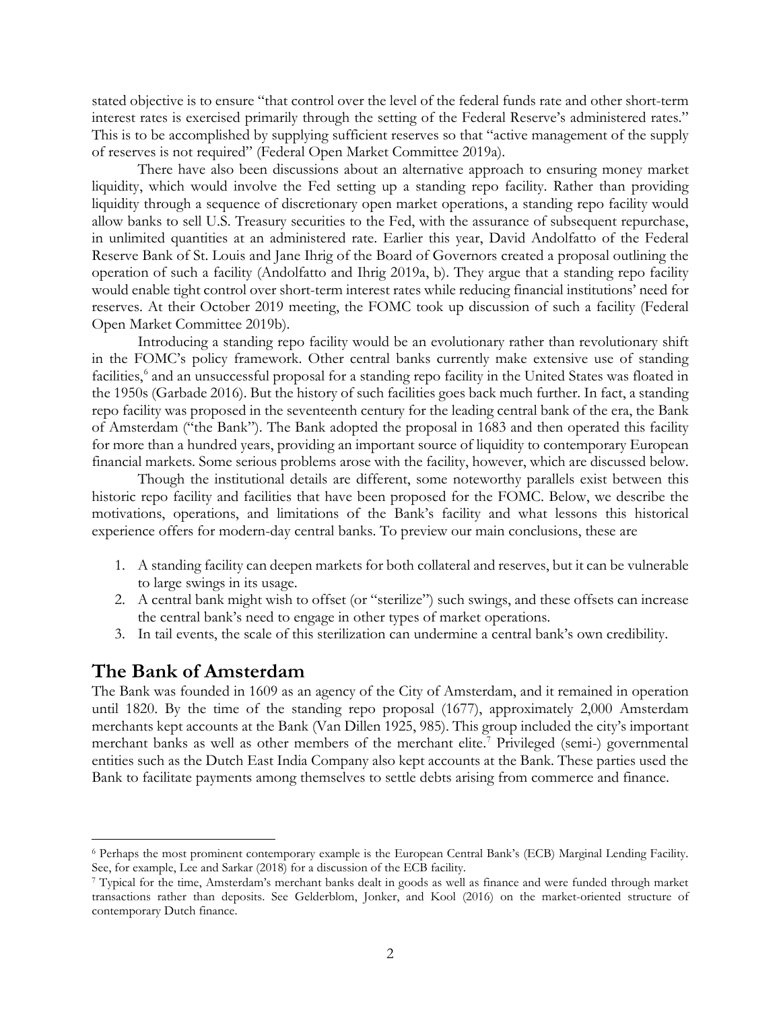stated objective is to ensure "that control over the level of the federal funds rate and other short-term interest rates is exercised primarily through the setting of the Federal Reserve's administered rates." This is to be accomplished by supplying sufficient reserves so that "active management of the supply of reserves is not required" (Federal Open Market Committee 2019a).

There have also been discussions about an alternative approach to ensuring money market liquidity, which would involve the Fed setting up a standing repo facility. Rather than providing liquidity through a sequence of discretionary open market operations, a standing repo facility would allow banks to sell U.S. Treasury securities to the Fed, with the assurance of subsequent repurchase, in unlimited quantities at an administered rate. Earlier this year, David Andolfatto of the Federal Reserve Bank of St. Louis and Jane Ihrig of the Board of Governors created a proposal outlining the operation of such a facility (Andolfatto and Ihrig 2019a, b). They argue that a standing repo facility would enable tight control over short-term interest rates while reducing financial institutions' need for reserves. At their October 2019 meeting, the FOMC took up discussion of such a facility (Federal Open Market Committee 2019b).

Introducing a standing repo facility would be an evolutionary rather than revolutionary shift in the FOMC's policy framework. Other central banks currently make extensive use of standing facilities,<sup>[6](#page-2-0)</sup> and an unsuccessful proposal for a standing repo facility in the United States was floated in the 1950s (Garbade 2016). But the history of such facilities goes back much further. In fact, a standing repo facility was proposed in the seventeenth century for the leading central bank of the era, the Bank of Amsterdam ("the Bank"). The Bank adopted the proposal in 1683 and then operated this facility for more than a hundred years, providing an important source of liquidity to contemporary European financial markets. Some serious problems arose with the facility, however, which are discussed below.

Though the institutional details are different, some noteworthy parallels exist between this historic repo facility and facilities that have been proposed for the FOMC. Below, we describe the motivations, operations, and limitations of the Bank's facility and what lessons this historical experience offers for modern-day central banks. To preview our main conclusions, these are

- 1. A standing facility can deepen markets for both collateral and reserves, but it can be vulnerable to large swings in its usage.
- 2. A central bank might wish to offset (or "sterilize") such swings, and these offsets can increase the central bank's need to engage in other types of market operations.
- 3. In tail events, the scale of this sterilization can undermine a central bank's own credibility.

# **The Bank of Amsterdam**

 $\overline{a}$ 

The Bank was founded in 1609 as an agency of the City of Amsterdam, and it remained in operation until 1820. By the time of the standing repo proposal (1677), approximately 2,000 Amsterdam merchants kept accounts at the Bank (Van Dillen 1925, 985). This group included the city's important merchant banks as well as other members of the merchant elite. [7](#page-2-1) Privileged (semi-) governmental entities such as the Dutch East India Company also kept accounts at the Bank. These parties used the Bank to facilitate payments among themselves to settle debts arising from commerce and finance.

<span id="page-2-0"></span><sup>6</sup> Perhaps the most prominent contemporary example is the European Central Bank's (ECB) Marginal Lending Facility. See, for example, Lee and Sarkar (2018) for a discussion of the ECB facility.

<span id="page-2-1"></span><sup>7</sup> Typical for the time, Amsterdam's merchant banks dealt in goods as well as finance and were funded through market transactions rather than deposits. See Gelderblom, Jonker, and Kool (2016) on the market-oriented structure of contemporary Dutch finance.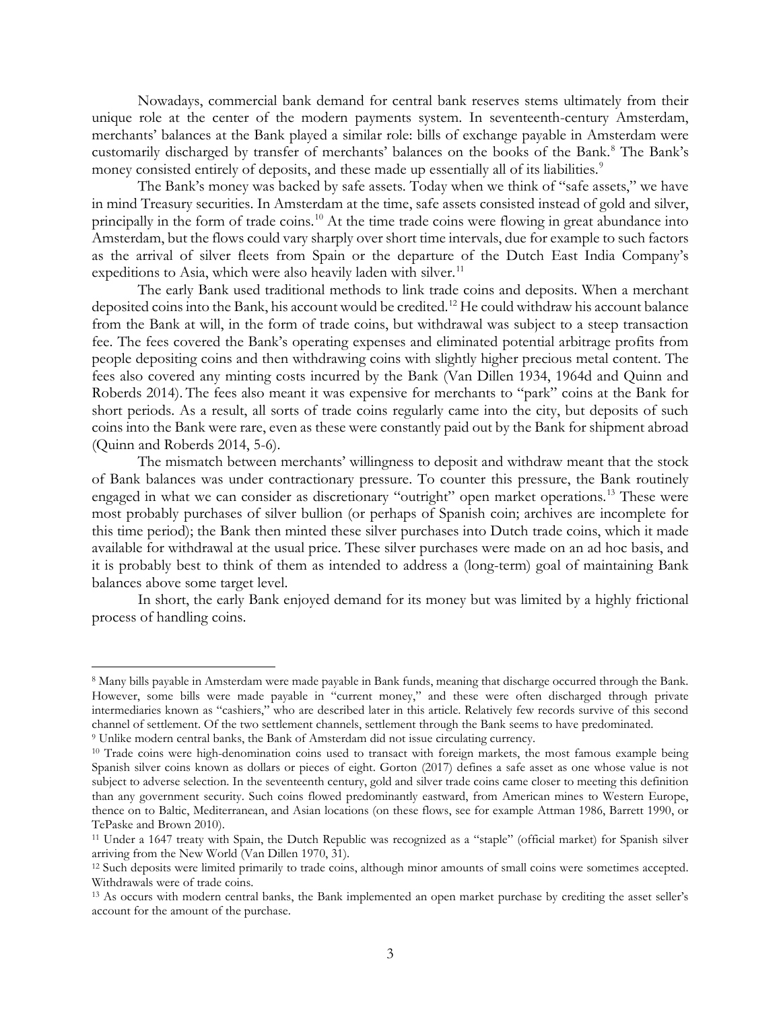Nowadays, commercial bank demand for central bank reserves stems ultimately from their unique role at the center of the modern payments system. In seventeenth-century Amsterdam, merchants' balances at the Bank played a similar role: bills of exchange payable in Amsterdam were customarily discharged by transfer of merchants' balances on the books of the Bank.<sup>[8](#page-3-0)</sup> The Bank's money consisted entirely of deposits, and these made up essentially all of its liabilities.<sup>[9](#page-3-1)</sup>

The Bank's money was backed by safe assets. Today when we think of "safe assets," we have in mind Treasury securities. In Amsterdam at the time, safe assets consisted instead of gold and silver, principally in the form of trade coins.<sup>[10](#page-3-2)</sup> At the time trade coins were flowing in great abundance into Amsterdam, but the flows could vary sharply over short time intervals, due for example to such factors as the arrival of silver fleets from Spain or the departure of the Dutch East India Company's expeditions to Asia, which were also heavily laden with silver.<sup>[11](#page-3-3)</sup>

The early Bank used traditional methods to link trade coins and deposits. When a merchant deposited coins into the Bank, his account would be credited.<sup>[12](#page-3-4)</sup> He could withdraw his account balance from the Bank at will, in the form of trade coins, but withdrawal was subject to a steep transaction fee. The fees covered the Bank's operating expenses and eliminated potential arbitrage profits from people depositing coins and then withdrawing coins with slightly higher precious metal content. The fees also covered any minting costs incurred by the Bank (Van Dillen 1934, 1964d and Quinn and Roberds 2014). The fees also meant it was expensive for merchants to "park" coins at the Bank for short periods. As a result, all sorts of trade coins regularly came into the city, but deposits of such coins into the Bank were rare, even as these were constantly paid out by the Bank for shipment abroad (Quinn and Roberds 2014, 5-6).

The mismatch between merchants' willingness to deposit and withdraw meant that the stock of Bank balances was under contractionary pressure. To counter this pressure, the Bank routinely engaged in what we can consider as discretionary "outright" open market operations.<sup>[13](#page-3-5)</sup> These were most probably purchases of silver bullion (or perhaps of Spanish coin; archives are incomplete for this time period); the Bank then minted these silver purchases into Dutch trade coins, which it made available for withdrawal at the usual price. These silver purchases were made on an ad hoc basis, and it is probably best to think of them as intended to address a (long-term) goal of maintaining Bank balances above some target level.

In short, the early Bank enjoyed demand for its money but was limited by a highly frictional process of handling coins.

 $\overline{a}$ 

<span id="page-3-0"></span><sup>8</sup> Many bills payable in Amsterdam were made payable in Bank funds, meaning that discharge occurred through the Bank. However, some bills were made payable in "current money," and these were often discharged through private intermediaries known as "cashiers," who are described later in this article. Relatively few records survive of this second channel of settlement. Of the two settlement channels, settlement through the Bank seems to have predominated.

<span id="page-3-1"></span><sup>9</sup> Unlike modern central banks, the Bank of Amsterdam did not issue circulating currency.

<span id="page-3-2"></span><sup>&</sup>lt;sup>10</sup> Trade coins were high-denomination coins used to transact with foreign markets, the most famous example being Spanish silver coins known as dollars or pieces of eight. Gorton (2017) defines a safe asset as one whose value is not subject to adverse selection. In the seventeenth century, gold and silver trade coins came closer to meeting this definition than any government security. Such coins flowed predominantly eastward, from American mines to Western Europe, thence on to Baltic, Mediterranean, and Asian locations (on these flows, see for example Attman 1986, Barrett 1990, or TePaske and Brown 2010).

<span id="page-3-3"></span><sup>11</sup> Under a 1647 treaty with Spain, the Dutch Republic was recognized as a "staple" (official market) for Spanish silver arriving from the New World (Van Dillen 1970, 31).

<span id="page-3-4"></span><sup>12</sup> Such deposits were limited primarily to trade coins, although minor amounts of small coins were sometimes accepted. Withdrawals were of trade coins.

<span id="page-3-5"></span><sup>&</sup>lt;sup>13</sup> As occurs with modern central banks, the Bank implemented an open market purchase by crediting the asset seller's account for the amount of the purchase.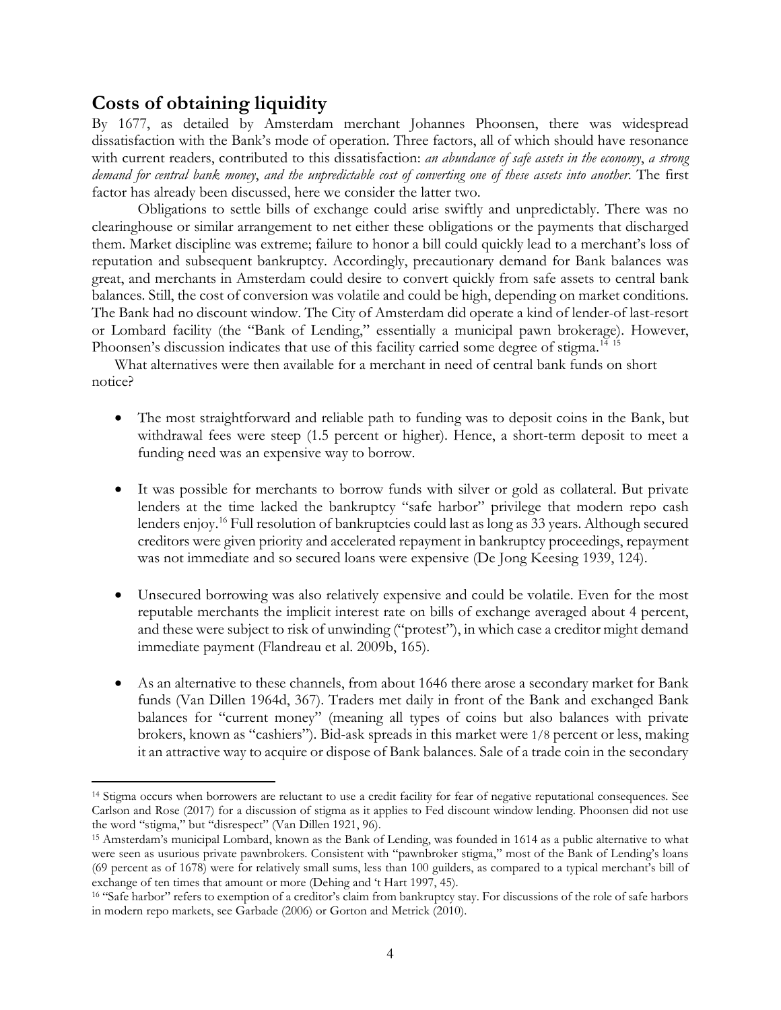# **Costs of obtaining liquidity**

 $\overline{a}$ 

By 1677, as detailed by Amsterdam merchant Johannes Phoonsen, there was widespread dissatisfaction with the Bank's mode of operation. Three factors, all of which should have resonance with current readers, contributed to this dissatisfaction: *an abundance of safe assets in the economy*, *a strong demand for central bank money*, *and the unpredictable cost of converting one of these assets into another*. The first factor has already been discussed, here we consider the latter two.

Obligations to settle bills of exchange could arise swiftly and unpredictably. There was no clearinghouse or similar arrangement to net either these obligations or the payments that discharged them. Market discipline was extreme; failure to honor a bill could quickly lead to a merchant's loss of reputation and subsequent bankruptcy. Accordingly, precautionary demand for Bank balances was great, and merchants in Amsterdam could desire to convert quickly from safe assets to central bank balances. Still, the cost of conversion was volatile and could be high, depending on market conditions. The Bank had no discount window. The City of Amsterdam did operate a kind of lender-of last-resort or Lombard facility (the "Bank of Lending," essentially a municipal pawn brokerage). However, Phoonsen's discussion indicates that use of this facility carried some degree of stigma.<sup>[14](#page-4-0) [15](#page-4-1)</sup>

What alternatives were then available for a merchant in need of central bank funds on short notice?

- The most straightforward and reliable path to funding was to deposit coins in the Bank, but withdrawal fees were steep (1.5 percent or higher). Hence, a short-term deposit to meet a funding need was an expensive way to borrow.
- It was possible for merchants to borrow funds with silver or gold as collateral. But private lenders at the time lacked the bankruptcy "safe harbor" privilege that modern repo cash lenders enjoy. [16](#page-4-2) Full resolution of bankruptcies could last as long as 33 years. Although secured creditors were given priority and accelerated repayment in bankruptcy proceedings, repayment was not immediate and so secured loans were expensive (De Jong Keesing 1939, 124).
- Unsecured borrowing was also relatively expensive and could be volatile. Even for the most reputable merchants the implicit interest rate on bills of exchange averaged about 4 percent, and these were subject to risk of unwinding ("protest"), in which case a creditor might demand immediate payment (Flandreau et al. 2009b, 165).
- As an alternative to these channels, from about 1646 there arose a secondary market for Bank funds (Van Dillen 1964d, 367). Traders met daily in front of the Bank and exchanged Bank balances for "current money" (meaning all types of coins but also balances with private brokers, known as "cashiers"). Bid-ask spreads in this market were 1/8 percent or less, making it an attractive way to acquire or dispose of Bank balances. Sale of a trade coin in the secondary

<span id="page-4-0"></span><sup>14</sup> Stigma occurs when borrowers are reluctant to use a credit facility for fear of negative reputational consequences. See Carlson and Rose (2017) for a discussion of stigma as it applies to Fed discount window lending. Phoonsen did not use the word "stigma," but "disrespect" (Van Dillen 1921, 96).

<span id="page-4-1"></span><sup>15</sup> Amsterdam's municipal Lombard, known as the Bank of Lending, was founded in 1614 as a public alternative to what were seen as usurious private pawnbrokers. Consistent with "pawnbroker stigma," most of the Bank of Lending's loans (69 percent as of 1678) were for relatively small sums, less than 100 guilders, as compared to a typical merchant's bill of exchange of ten times that amount or more (Dehing and 't Hart 1997, 45).

<span id="page-4-2"></span><sup>16</sup> "Safe harbor" refers to exemption of a creditor's claim from bankruptcy stay. For discussions of the role of safe harbors in modern repo markets, see Garbade (2006) or Gorton and Metrick (2010).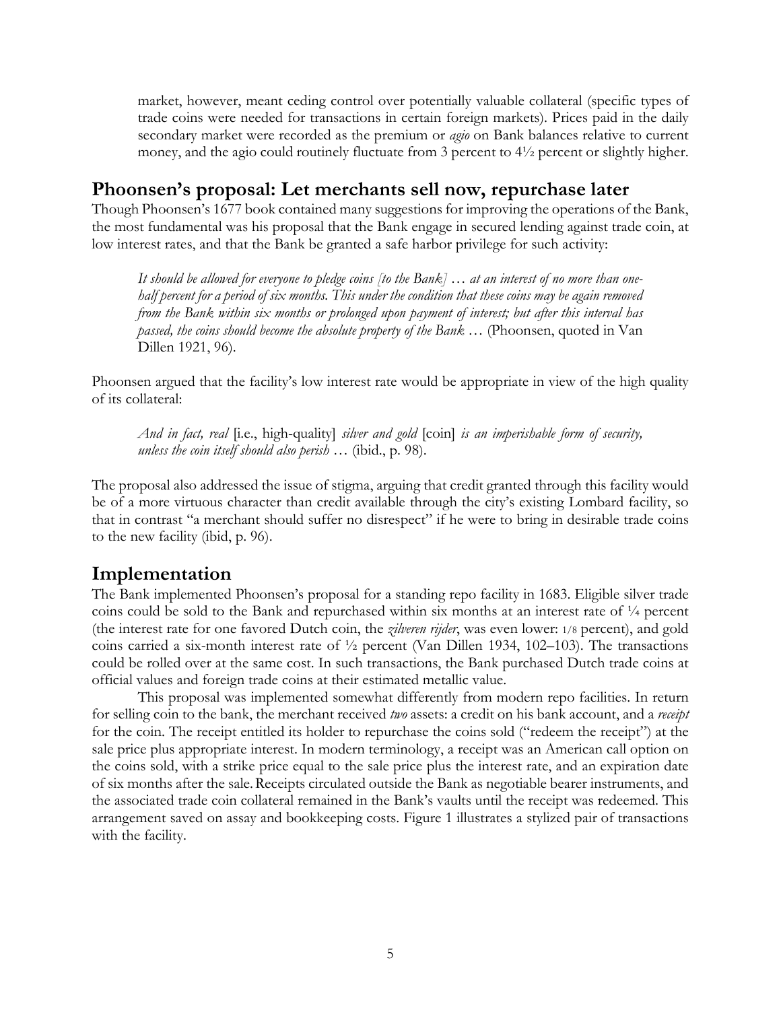market, however, meant ceding control over potentially valuable collateral (specific types of trade coins were needed for transactions in certain foreign markets). Prices paid in the daily secondary market were recorded as the premium or *agio* on Bank balances relative to current money, and the agio could routinely fluctuate from 3 percent to  $4\frac{1}{2}$  percent or slightly higher.

# **Phoonsen's proposal: Let merchants sell now, repurchase later**

Though Phoonsen's 1677 book contained many suggestions for improving the operations of the Bank, the most fundamental was his proposal that the Bank engage in secured lending against trade coin, at low interest rates, and that the Bank be granted a safe harbor privilege for such activity:

*It should be allowed for everyone to pledge coins [to the Bank] … at an interest of no more than onehalf percent for a period of six months. This under the condition that these coins may be again removed from the Bank within six months or prolonged upon payment of interest; but after this interval has passed, the coins should become the absolute property of the Bank …* (Phoonsen, quoted in Van Dillen 1921, 96).

Phoonsen argued that the facility's low interest rate would be appropriate in view of the high quality of its collateral:

*And in fact, real* [i.e., high-quality] *silver and gold* [coin] *is an imperishable form of security, unless the coin itself should also perish …* (ibid., p. 98).

The proposal also addressed the issue of stigma, arguing that credit granted through this facility would be of a more virtuous character than credit available through the city's existing Lombard facility, so that in contrast "a merchant should suffer no disrespect" if he were to bring in desirable trade coins to the new facility (ibid, p. 96).

# **Implementation**

The Bank implemented Phoonsen's proposal for a standing repo facility in 1683. Eligible silver trade coins could be sold to the Bank and repurchased within six months at an interest rate of  $\frac{1}{4}$  percent (the interest rate for one favored Dutch coin, the *zilveren rijder*, was even lower: 1/8 percent), and gold coins carried a six-month interest rate of ½ percent (Van Dillen 1934, 102–103). The transactions could be rolled over at the same cost. In such transactions, the Bank purchased Dutch trade coins at official values and foreign trade coins at their estimated metallic value.

This proposal was implemented somewhat differently from modern repo facilities. In return for selling coin to the bank, the merchant received *two* assets: a credit on his bank account, and a *receipt* for the coin. The receipt entitled its holder to repurchase the coins sold ("redeem the receipt") at the sale price plus appropriate interest. In modern terminology, a receipt was an American call option on the coins sold, with a strike price equal to the sale price plus the interest rate, and an expiration date of six months after the sale.Receipts circulated outside the Bank as negotiable bearer instruments, and the associated trade coin collateral remained in the Bank's vaults until the receipt was redeemed. This arrangement saved on assay and bookkeeping costs. Figure 1 illustrates a stylized pair of transactions with the facility.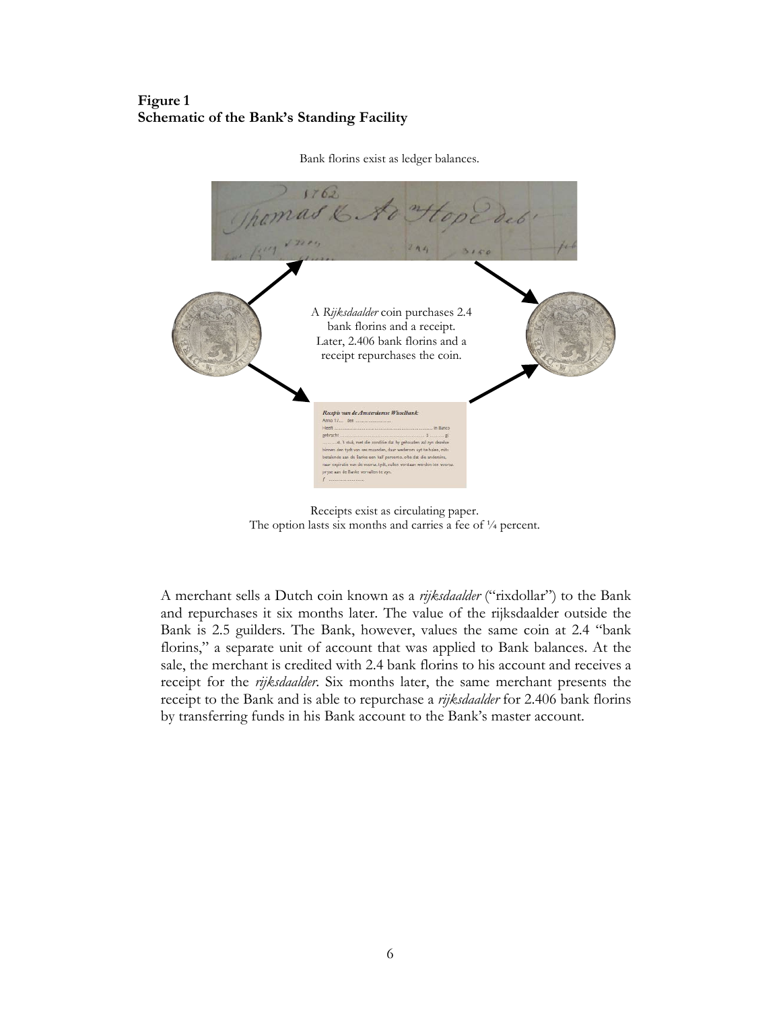#### **Figure 1 Schematic of the Bank's Standing Facility**



Bank florins exist as ledger balances.

Receipts exist as circulating paper. The option lasts six months and carries a fee of  $\frac{1}{4}$  percent.

A merchant sells a Dutch coin known as a *rijksdaalder* ("rixdollar") to the Bank and repurchases it six months later. The value of the rijksdaalder outside the Bank is 2.5 guilders. The Bank, however, values the same coin at 2.4 "bank florins," a separate unit of account that was applied to Bank balances. At the sale, the merchant is credited with 2.4 bank florins to his account and receives a receipt for the *rijksdaalder*. Six months later, the same merchant presents the receipt to the Bank and is able to repurchase a *rijksdaalder* for 2.406 bank florins by transferring funds in his Bank account to the Bank's master account.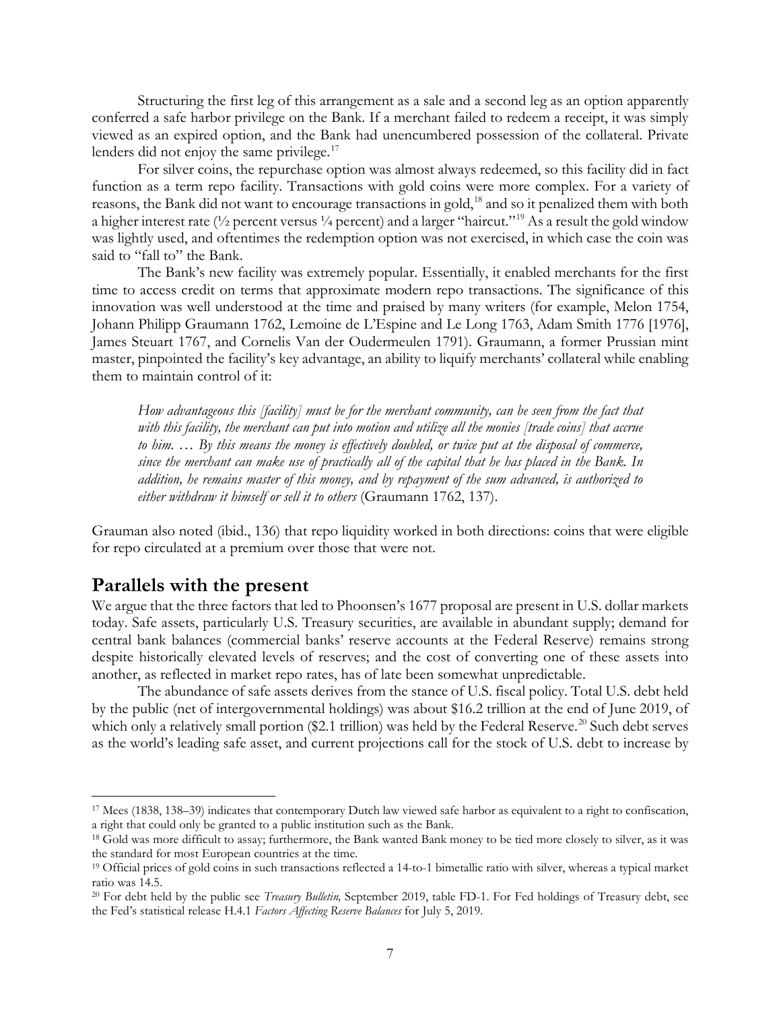Structuring the first leg of this arrangement as a sale and a second leg as an option apparently conferred a safe harbor privilege on the Bank. If a merchant failed to redeem a receipt, it was simply viewed as an expired option, and the Bank had unencumbered possession of the collateral. Private lenders did not enjoy the same privilege.<sup>[17](#page-7-0)</sup>

For silver coins, the repurchase option was almost always redeemed, so this facility did in fact function as a term repo facility. Transactions with gold coins were more complex. For a variety of reasons, the Bank did not want to encourage transactions in gold,<sup>[18](#page-7-1)</sup> and so it penalized them with both a higher interest rate (½ percent versus ¼ percent) and a larger "haircut."[19](#page-7-2) As a result the gold window was lightly used, and oftentimes the redemption option was not exercised, in which case the coin was said to "fall to" the Bank.

The Bank's new facility was extremely popular. Essentially, it enabled merchants for the first time to access credit on terms that approximate modern repo transactions. The significance of this innovation was well understood at the time and praised by many writers (for example, Melon 1754, Johann Philipp Graumann 1762, Lemoine de L'Espine and Le Long 1763, Adam Smith 1776 [1976], James Steuart 1767, and Cornelis Van der Oudermeulen 1791). Graumann, a former Prussian mint master, pinpointed the facility's key advantage, an ability to liquify merchants' collateral while enabling them to maintain control of it:

*How advantageous this [facility] must be for the merchant community, can be seen from the fact that with this facility, the merchant can put into motion and utilize all the monies [trade coins] that accrue to him. … By this means the money is effectively doubled, or twice put at the disposal of commerce, since the merchant can make use of practically all of the capital that he has placed in the Bank. In addition, he remains master of this money, and by repayment of the sum advanced, is authorized to either withdraw it himself or sell it to others* (Graumann 1762, 137).

Grauman also noted (ibid., 136) that repo liquidity worked in both directions: coins that were eligible for repo circulated at a premium over those that were not.

# **Parallels with the present**

 $\overline{a}$ 

We argue that the three factors that led to Phoonsen's 1677 proposal are present in U.S. dollar markets today. Safe assets, particularly U.S. Treasury securities, are available in abundant supply; demand for central bank balances (commercial banks' reserve accounts at the Federal Reserve) remains strong despite historically elevated levels of reserves; and the cost of converting one of these assets into another, as reflected in market repo rates, has of late been somewhat unpredictable.

The abundance of safe assets derives from the stance of U.S. fiscal policy. Total U.S. debt held by the public (net of intergovernmental holdings) was about \$16.2 trillion at the end of June 2019, of which only a relatively small portion (\$2.1 trillion) was held by the Federal Reserve.<sup>[20](#page-7-3)</sup> Such debt serves as the world's leading safe asset, and current projections call for the stock of U.S. debt to increase by

<span id="page-7-0"></span><sup>17</sup> Mees (1838, 138–39) indicates that contemporary Dutch law viewed safe harbor as equivalent to a right to confiscation, a right that could only be granted to a public institution such as the Bank.

<span id="page-7-1"></span><sup>&</sup>lt;sup>18</sup> Gold was more difficult to assay; furthermore, the Bank wanted Bank money to be tied more closely to silver, as it was the standard for most European countries at the time.

<span id="page-7-2"></span><sup>19</sup> Official prices of gold coins in such transactions reflected a 14-to-1 bimetallic ratio with silver, whereas a typical market ratio was 14.5.

<span id="page-7-3"></span><sup>20</sup> For debt held by the public see *Treasury Bulletin,* September 2019, table FD-1. For Fed holdings of Treasury debt, see the Fed's statistical release H.4.1 *Factors Affecting Reserve Balances* for July 5, 2019.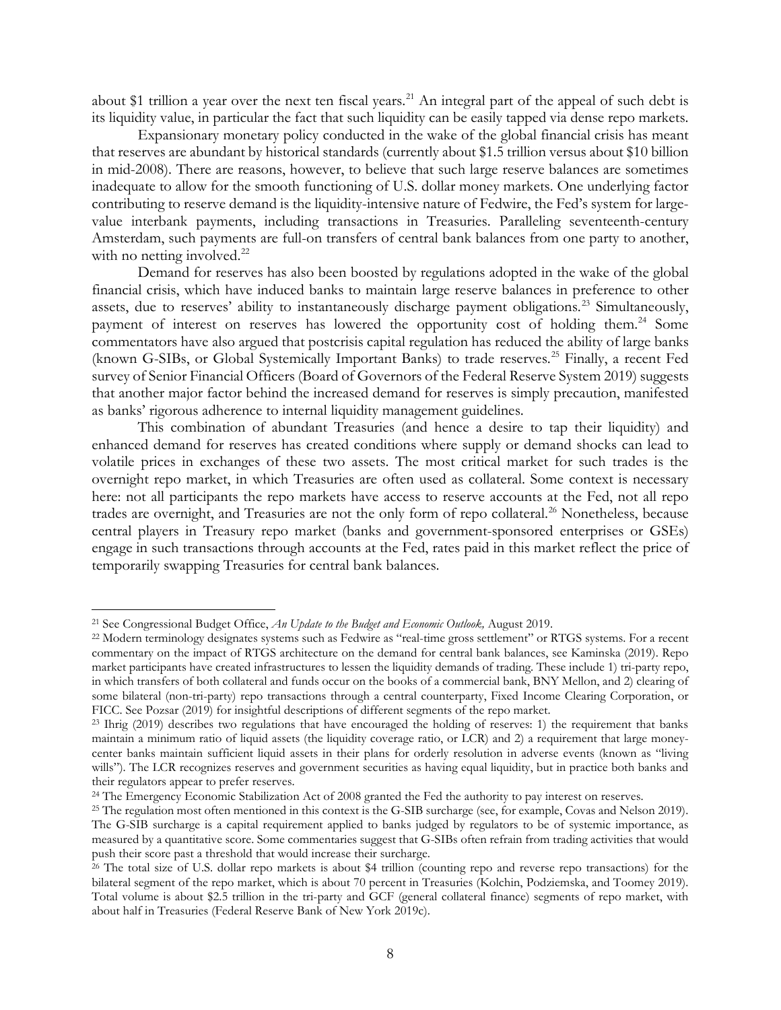about \$1 trillion a year over the next ten fiscal years.<sup>[21](#page-8-0)</sup> An integral part of the appeal of such debt is its liquidity value, in particular the fact that such liquidity can be easily tapped via dense repo markets.

Expansionary monetary policy conducted in the wake of the global financial crisis has meant that reserves are abundant by historical standards (currently about \$1.5 trillion versus about \$10 billion in mid-2008). There are reasons, however, to believe that such large reserve balances are sometimes inadequate to allow for the smooth functioning of U.S. dollar money markets. One underlying factor contributing to reserve demand is the liquidity-intensive nature of Fedwire, the Fed's system for largevalue interbank payments, including transactions in Treasuries. Paralleling seventeenth-century Amsterdam, such payments are full-on transfers of central bank balances from one party to another, with no netting involved. $22$ 

Demand for reserves has also been boosted by regulations adopted in the wake of the global financial crisis, which have induced banks to maintain large reserve balances in preference to other assets, due to reserves' ability to instantaneously discharge payment obligations.<sup>[23](#page-8-2)</sup> Simultaneously, payment of interest on reserves has lowered the opportunity cost of holding them.<sup>[24](#page-8-3)</sup> Some commentators have also argued that postcrisis capital regulation has reduced the ability of large banks (known G-SIBs, or Global Systemically Important Banks) to trade reserves.<sup>[25](#page-8-4)</sup> Finally, a recent Fed survey of Senior Financial Officers (Board of Governors of the Federal Reserve System 2019) suggests that another major factor behind the increased demand for reserves is simply precaution, manifested as banks' rigorous adherence to internal liquidity management guidelines.

This combination of abundant Treasuries (and hence a desire to tap their liquidity) and enhanced demand for reserves has created conditions where supply or demand shocks can lead to volatile prices in exchanges of these two assets. The most critical market for such trades is the overnight repo market, in which Treasuries are often used as collateral. Some context is necessary here: not all participants the repo markets have access to reserve accounts at the Fed, not all repo trades are overnight, and Treasuries are not the only form of repo collateral. [26](#page-8-5) Nonetheless, because central players in Treasury repo market (banks and government-sponsored enterprises or GSEs) engage in such transactions through accounts at the Fed, rates paid in this market reflect the price of temporarily swapping Treasuries for central bank balances.

 $\overline{a}$ 

<span id="page-8-0"></span><sup>21</sup> See Congressional Budget Office, *An Update to the Budget and Economic Outlook,* August 2019.

<span id="page-8-1"></span><sup>&</sup>lt;sup>22</sup> Modern terminology designates systems such as Fedwire as "real-time gross settlement" or RTGS systems. For a recent commentary on the impact of RTGS architecture on the demand for central bank balances, see Kaminska (2019). Repo market participants have created infrastructures to lessen the liquidity demands of trading. These include 1) tri-party repo, in which transfers of both collateral and funds occur on the books of a commercial bank, BNY Mellon, and 2) clearing of some bilateral (non-tri-party) repo transactions through a central counterparty, Fixed Income Clearing Corporation, or FICC. See Pozsar (2019) for insightful descriptions of different segments of the repo market.

<span id="page-8-2"></span> $^{23}$  Ihrig (2019) describes two regulations that have encouraged the holding of reserves: 1) the requirement that banks maintain a minimum ratio of liquid assets (the liquidity coverage ratio, or LCR) and 2) a requirement that large moneycenter banks maintain sufficient liquid assets in their plans for orderly resolution in adverse events (known as "living wills"). The LCR recognizes reserves and government securities as having equal liquidity, but in practice both banks and their regulators appear to prefer reserves.

<span id="page-8-3"></span><sup>24</sup> The Emergency Economic Stabilization Act of 2008 granted the Fed the authority to pay interest on reserves.

<span id="page-8-4"></span><sup>&</sup>lt;sup>25</sup> The regulation most often mentioned in this context is the G-SIB surcharge (see, for example, Covas and Nelson 2019). The G-SIB surcharge is a capital requirement applied to banks judged by regulators to be of systemic importance, as measured by a quantitative score. Some commentaries suggest that G-SIBs often refrain from trading activities that would push their score past a threshold that would increase their surcharge.

<span id="page-8-5"></span><sup>26</sup> The total size of U.S. dollar repo markets is about \$4 trillion (counting repo and reverse repo transactions) for the bilateral segment of the repo market, which is about 70 percent in Treasuries (Kolchin, Podziemska, and Toomey 2019). Total volume is about \$2.5 trillion in the tri-party and GCF (general collateral finance) segments of repo market, with about half in Treasuries (Federal Reserve Bank of New York 2019c).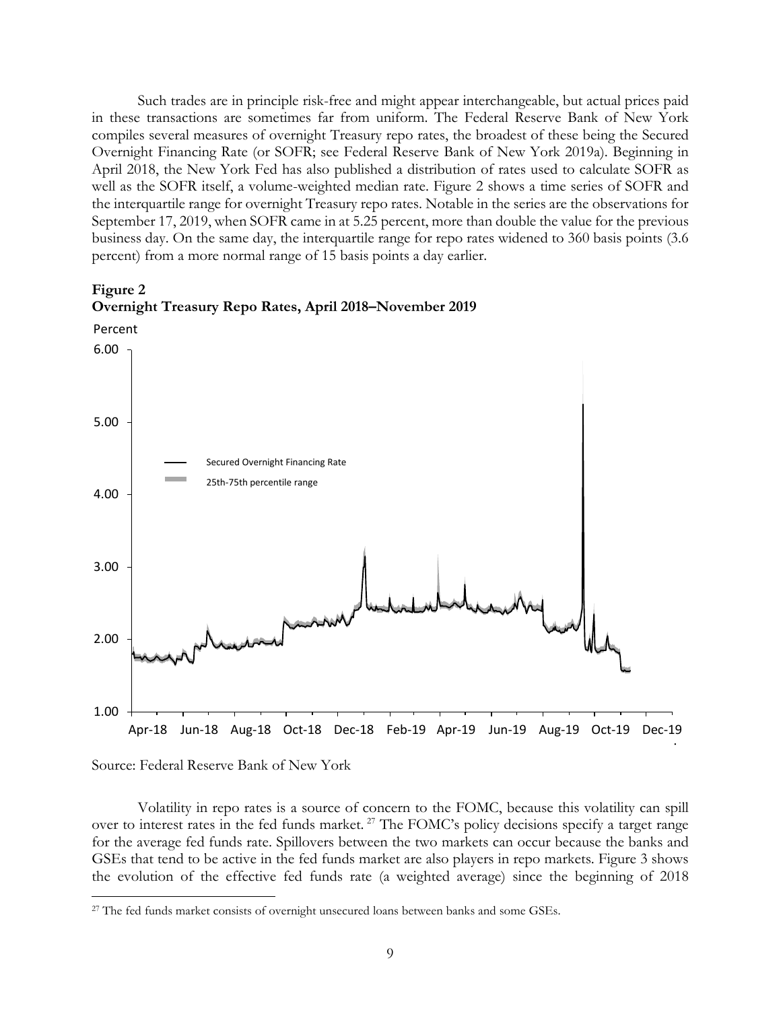Such trades are in principle risk-free and might appear interchangeable, but actual prices paid in these transactions are sometimes far from uniform. The Federal Reserve Bank of New York compiles several measures of overnight Treasury repo rates, the broadest of these being the Secured Overnight Financing Rate (or SOFR; see Federal Reserve Bank of New York 2019a). Beginning in April 2018, the New York Fed has also published a distribution of rates used to calculate SOFR as well as the SOFR itself, a volume-weighted median rate. Figure 2 shows a time series of SOFR and the interquartile range for overnight Treasury repo rates. Notable in the series are the observations for September 17, 2019, when SOFR came in at 5.25 percent, more than double the value for the previous business day. On the same day, the interquartile range for repo rates widened to 360 basis points (3.6 percent) from a more normal range of 15 basis points a day earlier.

**Figure 2 Overnight Treasury Repo Rates, April 2018–November 2019**



Source: Federal Reserve Bank of New York

 $\overline{a}$ 

Volatility in repo rates is a source of concern to the FOMC, because this volatility can spill over to interest rates in the fed funds market.<sup>[27](#page-9-0)</sup> The FOMC's policy decisions specify a target range for the average fed funds rate. Spillovers between the two markets can occur because the banks and GSEs that tend to be active in the fed funds market are also players in repo markets. Figure 3 shows the evolution of the effective fed funds rate (a weighted average) since the beginning of 2018

.

<span id="page-9-0"></span><sup>&</sup>lt;sup>27</sup> The fed funds market consists of overnight unsecured loans between banks and some GSEs.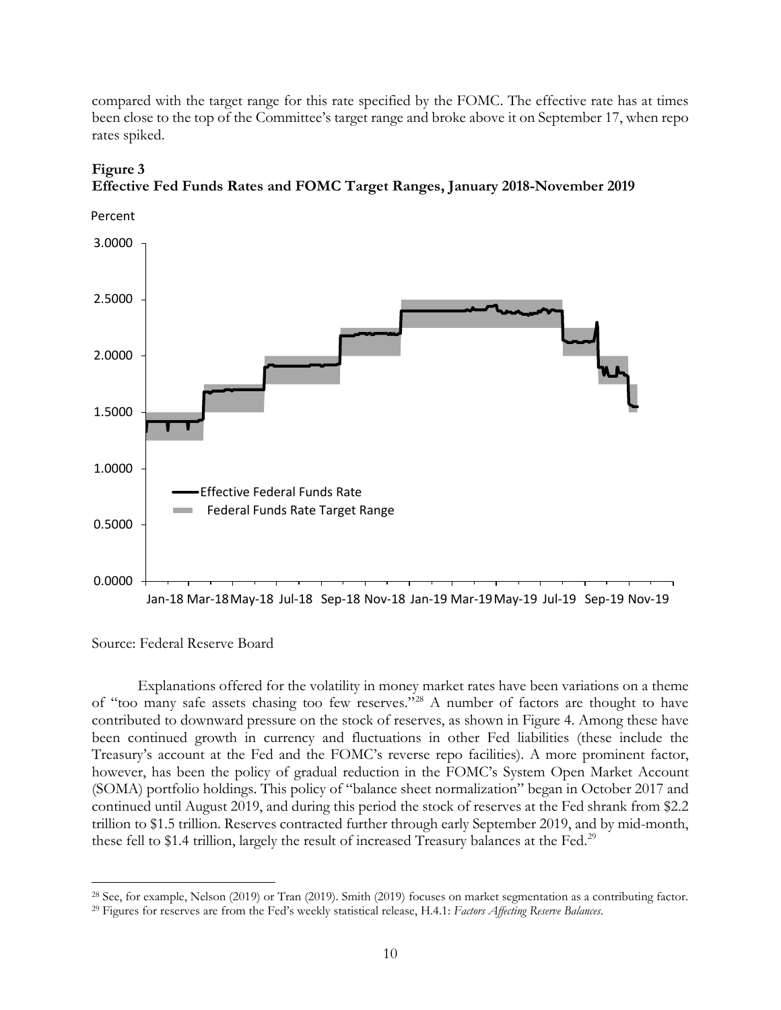compared with the target range for this rate specified by the FOMC. The effective rate has at times been close to the top of the Committee's target range and broke above it on September 17, when repo rates spiked.







Source: Federal Reserve Board

Explanations offered for the volatility in money market rates have been variations on a theme of "too many safe assets chasing too few reserves."[28](#page-10-0) A number of factors are thought to have contributed to downward pressure on the stock of reserves, as shown in Figure 4. Among these have been continued growth in currency and fluctuations in other Fed liabilities (these include the Treasury's account at the Fed and the FOMC's reverse repo facilities). A more prominent factor, however, has been the policy of gradual reduction in the FOMC's System Open Market Account (SOMA) portfolio holdings. This policy of "balance sheet normalization" began in October 2017 and continued until August 2019, and during this period the stock of reserves at the Fed shrank from \$2.2 trillion to \$1.5 trillion. Reserves contracted further through early September 2019, and by mid-month, these fell to \$1.4 trillion, largely the result of increased Treasury balances at the Fed.<sup>[29](#page-10-1)</sup>

<span id="page-10-0"></span> $\overline{a}$ <sup>28</sup> See, for example, Nelson (2019) or Tran (2019). Smith (2019) focuses on market segmentation as a contributing factor.

<span id="page-10-1"></span><sup>29</sup> Figures for reserves are from the Fed's weekly statistical release, H.4.1: *Factors Affecting Reserve Balances*.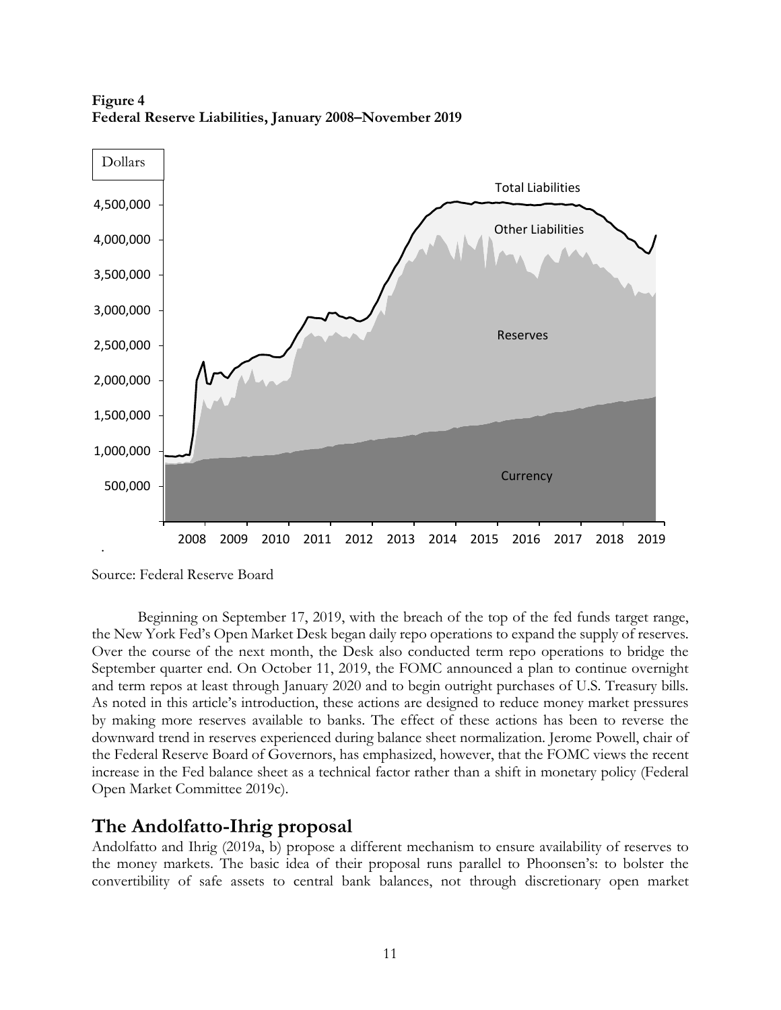**Figure 4 Federal Reserve Liabilities, January 2008–November 2019**



Source: Federal Reserve Board

Beginning on September 17, 2019, with the breach of the top of the fed funds target range, the New York Fed's Open Market Desk began daily repo operations to expand the supply of reserves. Over the course of the next month, the Desk also conducted term repo operations to bridge the September quarter end. On October 11, 2019, the FOMC announced a plan to continue overnight and term repos at least through January 2020 and to begin outright purchases of U.S. Treasury bills. As noted in this article's introduction, these actions are designed to reduce money market pressures by making more reserves available to banks. The effect of these actions has been to reverse the downward trend in reserves experienced during balance sheet normalization. Jerome Powell, chair of the Federal Reserve Board of Governors, has emphasized, however, that the FOMC views the recent increase in the Fed balance sheet as a technical factor rather than a shift in monetary policy (Federal Open Market Committee 2019c).

# **The Andolfatto-Ihrig proposal**

Andolfatto and Ihrig (2019a, b) propose a different mechanism to ensure availability of reserves to the money markets. The basic idea of their proposal runs parallel to Phoonsen's: to bolster the convertibility of safe assets to central bank balances, not through discretionary open market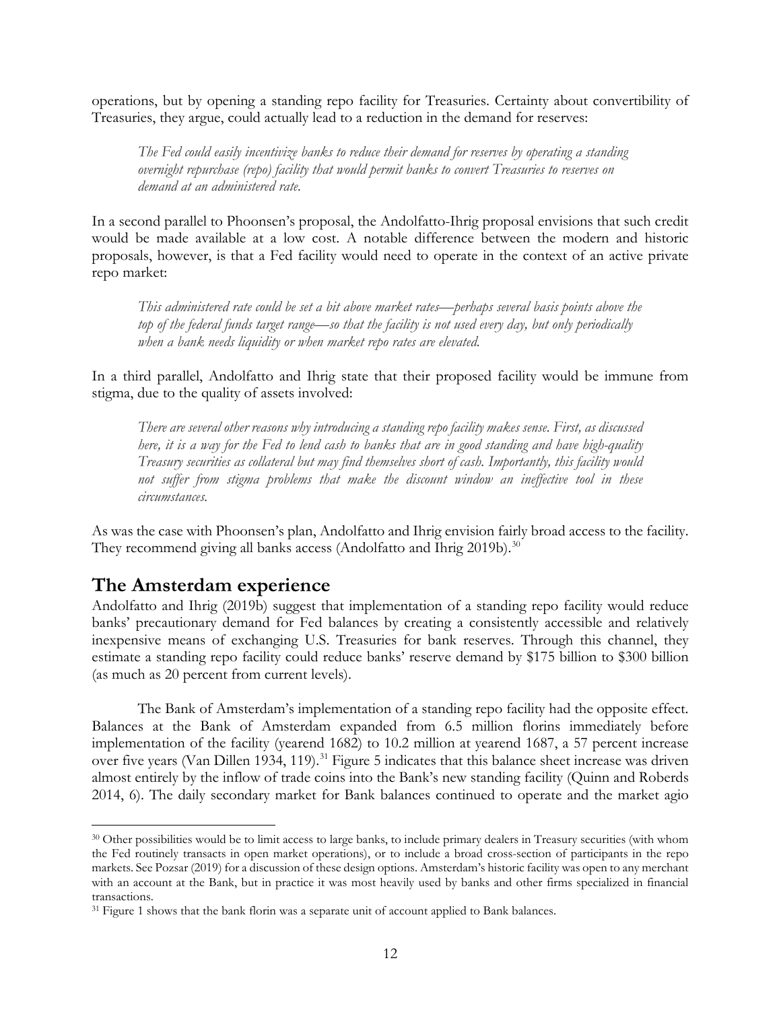operations, but by opening a standing repo facility for Treasuries. Certainty about convertibility of Treasuries, they argue, could actually lead to a reduction in the demand for reserves:

*The Fed could easily incentivize banks to reduce their demand for reserves by operating a standing overnight repurchase (repo) facility that would permit banks to convert Treasuries to reserves on demand at an administered rate.*

In a second parallel to Phoonsen's proposal, the Andolfatto-Ihrig proposal envisions that such credit would be made available at a low cost. A notable difference between the modern and historic proposals, however, is that a Fed facility would need to operate in the context of an active private repo market:

*This administered rate could be set a bit above market rates—perhaps several basis points above the top of the federal funds target range—so that the facility is not used every day, but only periodically when a bank needs liquidity or when market repo rates are elevated.*

In a third parallel, Andolfatto and Ihrig state that their proposed facility would be immune from stigma, due to the quality of assets involved:

*There are several other reasons why introducing a standing repo facility makes sense. First, as discussed here, it is a way for the Fed to lend cash to banks that are in good standing and have high-quality Treasury securities as collateral but may find themselves short of cash. Importantly, this facility would not suffer from stigma problems that make the discount window an ineffective tool in these circumstances.*

As was the case with Phoonsen's plan, Andolfatto and Ihrig envision fairly broad access to the facility. They recommend giving all banks access (Andolfatto and Ihrig 2019b).<sup>[30](#page-12-0)</sup>

# **The Amsterdam experience**

 $\overline{a}$ 

Andolfatto and Ihrig (2019b) suggest that implementation of a standing repo facility would reduce banks' precautionary demand for Fed balances by creating a consistently accessible and relatively inexpensive means of exchanging U.S. Treasuries for bank reserves. Through this channel, they estimate a standing repo facility could reduce banks' reserve demand by \$175 billion to \$300 billion (as much as 20 percent from current levels).

The Bank of Amsterdam's implementation of a standing repo facility had the opposite effect. Balances at the Bank of Amsterdam expanded from 6.5 million florins immediately before implementation of the facility (yearend 1682) to 10.2 million at yearend 1687, a 57 percent increase over five years (Van Dillen 1934, 119).<sup>[31](#page-12-1)</sup> Figure 5 indicates that this balance sheet increase was driven almost entirely by the inflow of trade coins into the Bank's new standing facility (Quinn and Roberds 2014, 6). The daily secondary market for Bank balances continued to operate and the market agio

<span id="page-12-0"></span><sup>&</sup>lt;sup>30</sup> Other possibilities would be to limit access to large banks, to include primary dealers in Treasury securities (with whom the Fed routinely transacts in open market operations), or to include a broad cross-section of participants in the repo markets. See Pozsar (2019) for a discussion of these design options. Amsterdam's historic facility was open to any merchant with an account at the Bank, but in practice it was most heavily used by banks and other firms specialized in financial transactions.

<span id="page-12-1"></span><sup>&</sup>lt;sup>31</sup> Figure 1 shows that the bank florin was a separate unit of account applied to Bank balances.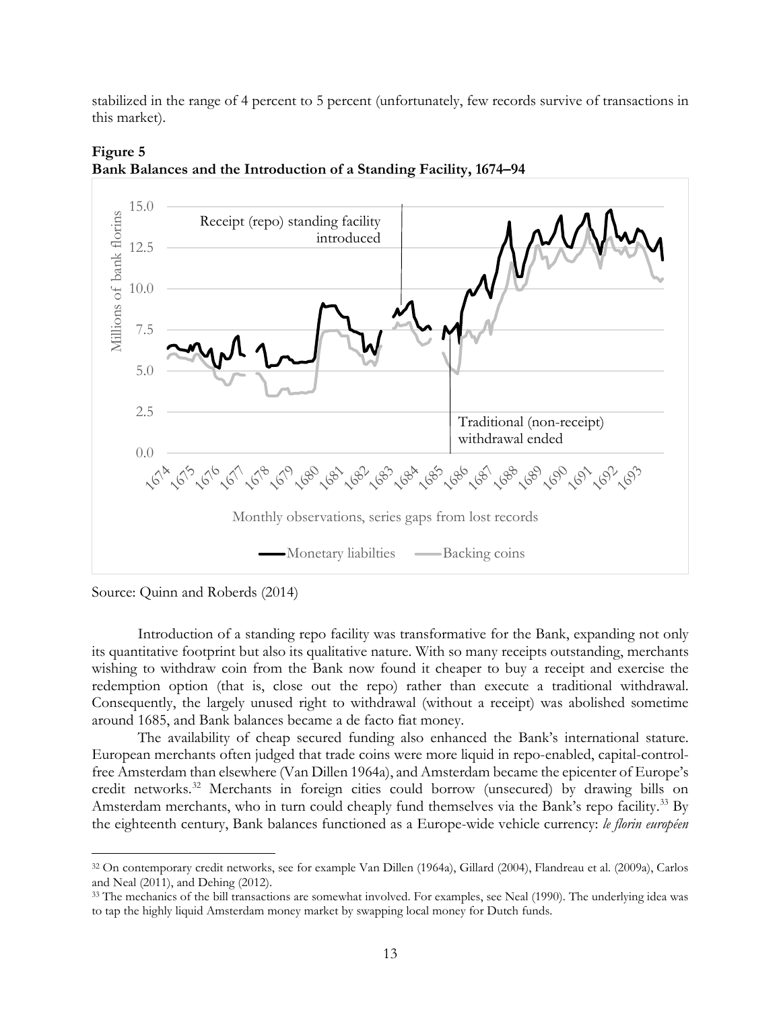stabilized in the range of 4 percent to 5 percent (unfortunately, few records survive of transactions in this market).



**Figure 5 Bank Balances and the Introduction of a Standing Facility, 1674–94**

 $\overline{a}$ 

Introduction of a standing repo facility was transformative for the Bank, expanding not only its quantitative footprint but also its qualitative nature. With so many receipts outstanding, merchants wishing to withdraw coin from the Bank now found it cheaper to buy a receipt and exercise the redemption option (that is, close out the repo) rather than execute a traditional withdrawal. Consequently, the largely unused right to withdrawal (without a receipt) was abolished sometime around 1685, and Bank balances became a de facto fiat money.

The availability of cheap secured funding also enhanced the Bank's international stature. European merchants often judged that trade coins were more liquid in repo-enabled, capital-controlfree Amsterdam than elsewhere (Van Dillen 1964a), and Amsterdam became the epicenter of Europe's credit networks. [32](#page-13-0) Merchants in foreign cities could borrow (unsecured) by drawing bills on Amsterdam merchants, who in turn could cheaply fund themselves via the Bank's repo facility.<sup>[33](#page-13-1)</sup> By the eighteenth century, Bank balances functioned as a Europe-wide vehicle currency: *le florin européen* 

Source: Quinn and Roberds (2014)

<span id="page-13-0"></span><sup>32</sup> On contemporary credit networks, see for example Van Dillen (1964a), Gillard (2004), Flandreau et al. (2009a), Carlos and Neal (2011), and Dehing (2012).

<span id="page-13-1"></span><sup>&</sup>lt;sup>33</sup> The mechanics of the bill transactions are somewhat involved. For examples, see Neal (1990). The underlying idea was to tap the highly liquid Amsterdam money market by swapping local money for Dutch funds.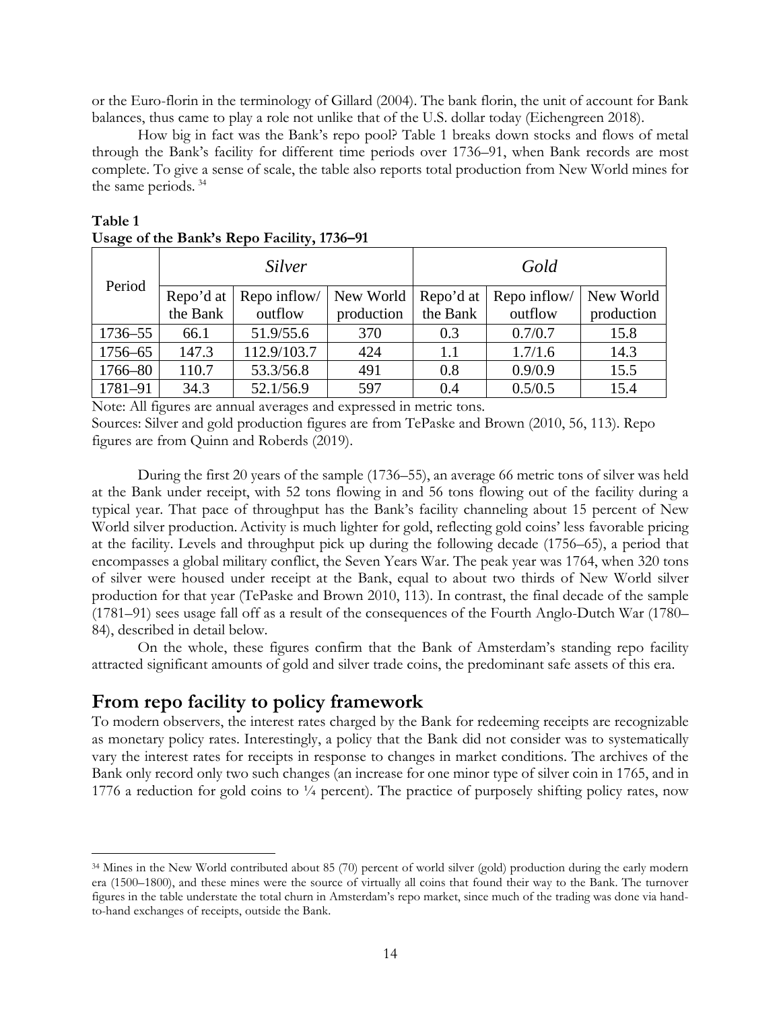or the Euro-florin in the terminology of Gillard (2004). The bank florin, the unit of account for Bank balances, thus came to play a role not unlike that of the U.S. dollar today (Eichengreen 2018).

How big in fact was the Bank's repo pool? Table 1 breaks down stocks and flows of metal through the Bank's facility for different time periods over 1736–91, when Bank records are most complete. To give a sense of scale, the table also reports total production from New World mines for the same periods. [34](#page-14-0)

| Period  | Silver   |                          |            | Gold     |                          |            |
|---------|----------|--------------------------|------------|----------|--------------------------|------------|
|         |          | Repo'd at   Repo inflow/ | New World  |          | Repo'd at   Repo inflow/ | New World  |
|         | the Bank | outflow                  | production | the Bank | outflow                  | production |
| 1736–55 | 66.1     | 51.9/55.6                | 370        | 0.3      | 0.7/0.7                  | 15.8       |
| 1756-65 | 147.3    | 112.9/103.7              | 424        | 1.1      | 1.7/1.6                  | 14.3       |
| 1766–80 | 110.7    | 53.3/56.8                | 491        | 0.8      | 0.9/0.9                  | 15.5       |
| 1781-91 | 34.3     | 52.1/56.9                | 597        | 0.4      | 0.5/0.5                  | 15.4       |

#### **Table 1 Usage of the Bank's Repo Facility, 1736–91**

Note: All figures are annual averages and expressed in metric tons.

Sources: Silver and gold production figures are from TePaske and Brown (2010, 56, 113). Repo figures are from Quinn and Roberds (2019).

During the first 20 years of the sample (1736–55), an average 66 metric tons of silver was held at the Bank under receipt, with 52 tons flowing in and 56 tons flowing out of the facility during a typical year. That pace of throughput has the Bank's facility channeling about 15 percent of New World silver production.Activity is much lighter for gold, reflecting gold coins' less favorable pricing at the facility. Levels and throughput pick up during the following decade (1756–65), a period that encompasses a global military conflict, the Seven Years War. The peak year was 1764, when 320 tons of silver were housed under receipt at the Bank, equal to about two thirds of New World silver production for that year (TePaske and Brown 2010, 113). In contrast, the final decade of the sample (1781–91) sees usage fall off as a result of the consequences of the Fourth Anglo-Dutch War (1780– 84), described in detail below.

On the whole, these figures confirm that the Bank of Amsterdam's standing repo facility attracted significant amounts of gold and silver trade coins, the predominant safe assets of this era.

## **From repo facility to policy framework**

 $\overline{a}$ 

To modern observers, the interest rates charged by the Bank for redeeming receipts are recognizable as monetary policy rates. Interestingly, a policy that the Bank did not consider was to systematically vary the interest rates for receipts in response to changes in market conditions. The archives of the Bank only record only two such changes (an increase for one minor type of silver coin in 1765, and in 1776 a reduction for gold coins to  $\frac{1}{4}$  percent). The practice of purposely shifting policy rates, now

<span id="page-14-0"></span><sup>&</sup>lt;sup>34</sup> Mines in the New World contributed about 85 (70) percent of world silver (gold) production during the early modern era (1500–1800), and these mines were the source of virtually all coins that found their way to the Bank. The turnover figures in the table understate the total churn in Amsterdam's repo market, since much of the trading was done via handto-hand exchanges of receipts, outside the Bank.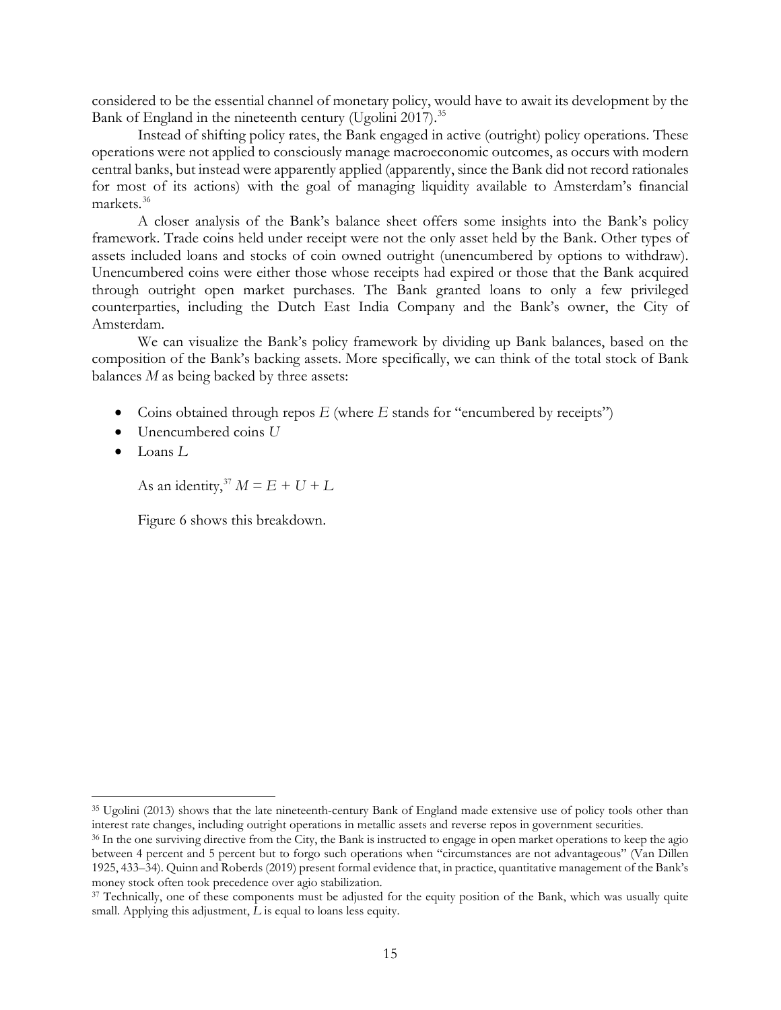considered to be the essential channel of monetary policy, would have to await its development by the Bank of England in the nineteenth century (Ugolini 2017).<sup>[35](#page-15-0)</sup>

Instead of shifting policy rates, the Bank engaged in active (outright) policy operations. These operations were not applied to consciously manage macroeconomic outcomes, as occurs with modern central banks, but instead were apparently applied (apparently, since the Bank did not record rationales for most of its actions) with the goal of managing liquidity available to Amsterdam's financial markets. [36](#page-15-1)

A closer analysis of the Bank's balance sheet offers some insights into the Bank's policy framework. Trade coins held under receipt were not the only asset held by the Bank. Other types of assets included loans and stocks of coin owned outright (unencumbered by options to withdraw). Unencumbered coins were either those whose receipts had expired or those that the Bank acquired through outright open market purchases. The Bank granted loans to only a few privileged counterparties, including the Dutch East India Company and the Bank's owner, the City of Amsterdam.

We can visualize the Bank's policy framework by dividing up Bank balances, based on the composition of the Bank's backing assets. More specifically, we can think of the total stock of Bank balances *M* as being backed by three assets:

- Coins obtained through repos *E* (where *E* stands for "encumbered by receipts")
- Unencumbered coins *U*
- Loans *L*

 $\overline{a}$ 

As an identity,<sup>[37](#page-15-2)</sup>  $M = E + U + L$ 

Figure 6 shows this breakdown.

<span id="page-15-0"></span><sup>35</sup> Ugolini (2013) shows that the late nineteenth-century Bank of England made extensive use of policy tools other than interest rate changes, including outright operations in metallic assets and reverse repos in government securities.

<span id="page-15-1"></span><sup>36</sup> In the one surviving directive from the City, the Bank is instructed to engage in open market operations to keep the agio between 4 percent and 5 percent but to forgo such operations when "circumstances are not advantageous" (Van Dillen 1925, 433–34). Quinn and Roberds (2019) present formal evidence that, in practice, quantitative management of the Bank's money stock often took precedence over agio stabilization.

<span id="page-15-2"></span><sup>&</sup>lt;sup>37</sup> Technically, one of these components must be adjusted for the equity position of the Bank, which was usually quite small. Applying this adjustment, L is equal to loans less equity.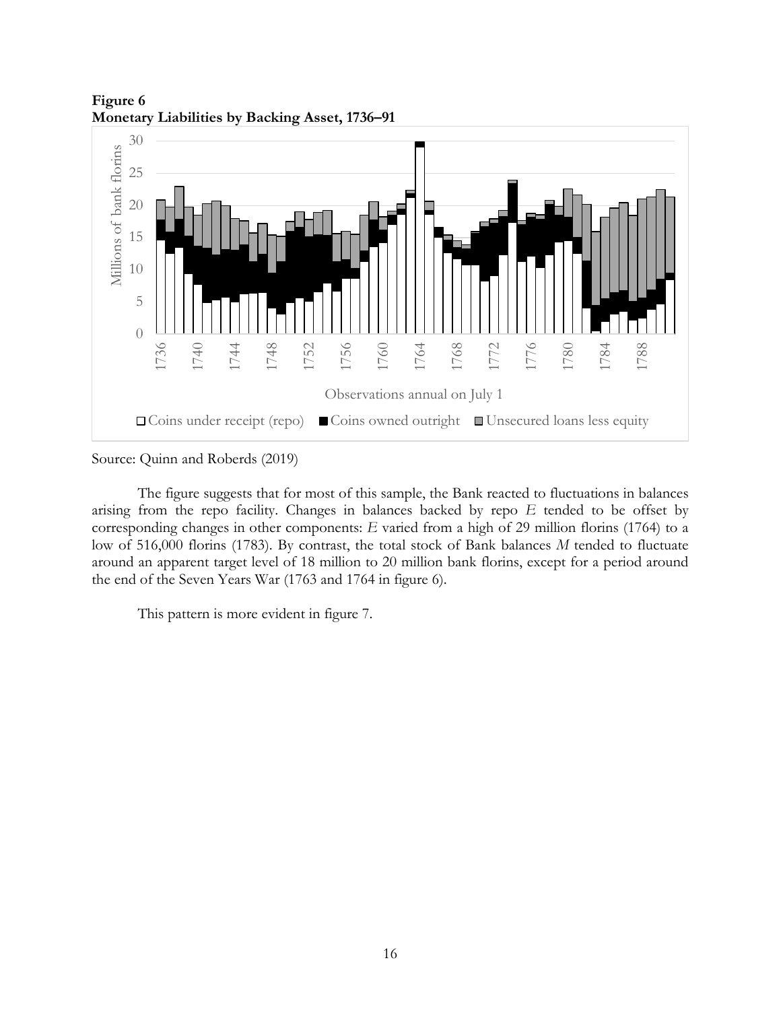

**Figure 6 Monetary Liabilities by Backing Asset, 1736–91**

Source: Quinn and Roberds (2019)

The figure suggests that for most of this sample, the Bank reacted to fluctuations in balances arising from the repo facility. Changes in balances backed by repo *E* tended to be offset by corresponding changes in other components: *E* varied from a high of 29 million florins (1764) to a low of 516,000 florins (1783). By contrast, the total stock of Bank balances *M* tended to fluctuate around an apparent target level of 18 million to 20 million bank florins, except for a period around the end of the Seven Years War (1763 and 1764 in figure 6).

This pattern is more evident in figure 7.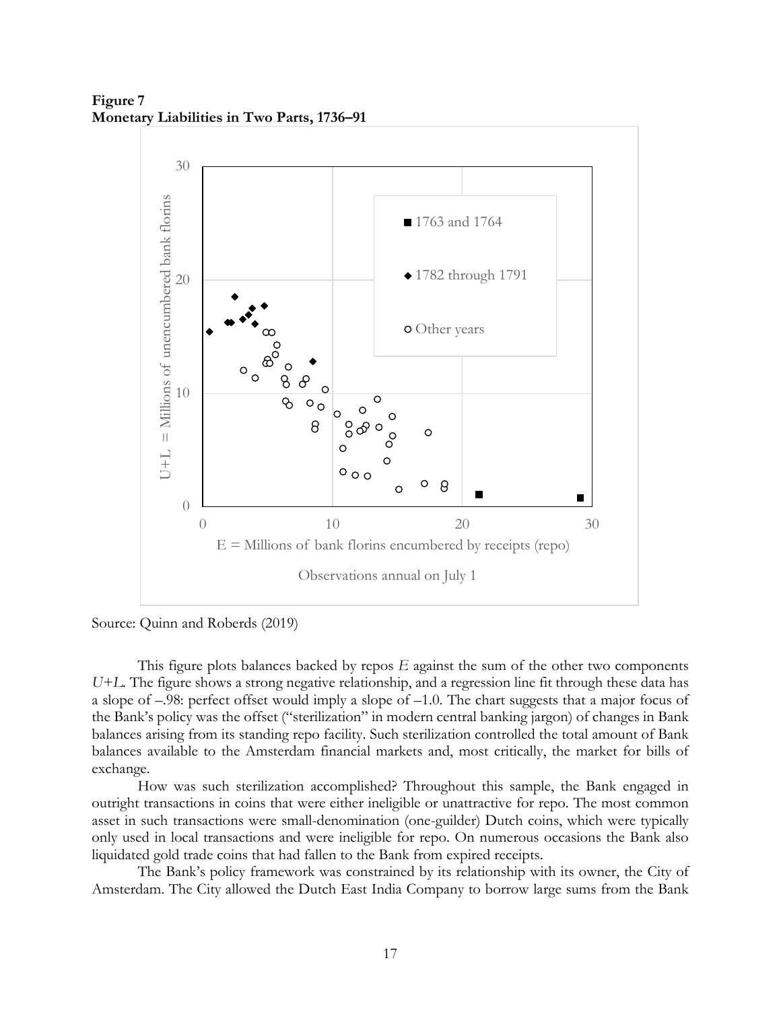**Figure 7 Monetary Liabilities in Two Parts, 1736–91**





This figure plots balances backed by repos *E* against the sum of the other two components *U+L.* The figure shows a strong negative relationship, and a regression line fit through these data has a slope of –.98: perfect offset would imply a slope of –1.0. The chart suggests that a major focus of the Bank's policy was the offset ("sterilization" in modern central banking jargon) of changes in Bank balances arising from its standing repo facility. Such sterilization controlled the total amount of Bank balances available to the Amsterdam financial markets and, most critically, the market for bills of exchange.

How was such sterilization accomplished? Throughout this sample, the Bank engaged in outright transactions in coins that were either ineligible or unattractive for repo. The most common asset in such transactions were small-denomination (one-guilder) Dutch coins, which were typically only used in local transactions and were ineligible for repo. On numerous occasions the Bank also liquidated gold trade coins that had fallen to the Bank from expired receipts.

The Bank's policy framework was constrained by its relationship with its owner, the City of Amsterdam. The City allowed the Dutch East India Company to borrow large sums from the Bank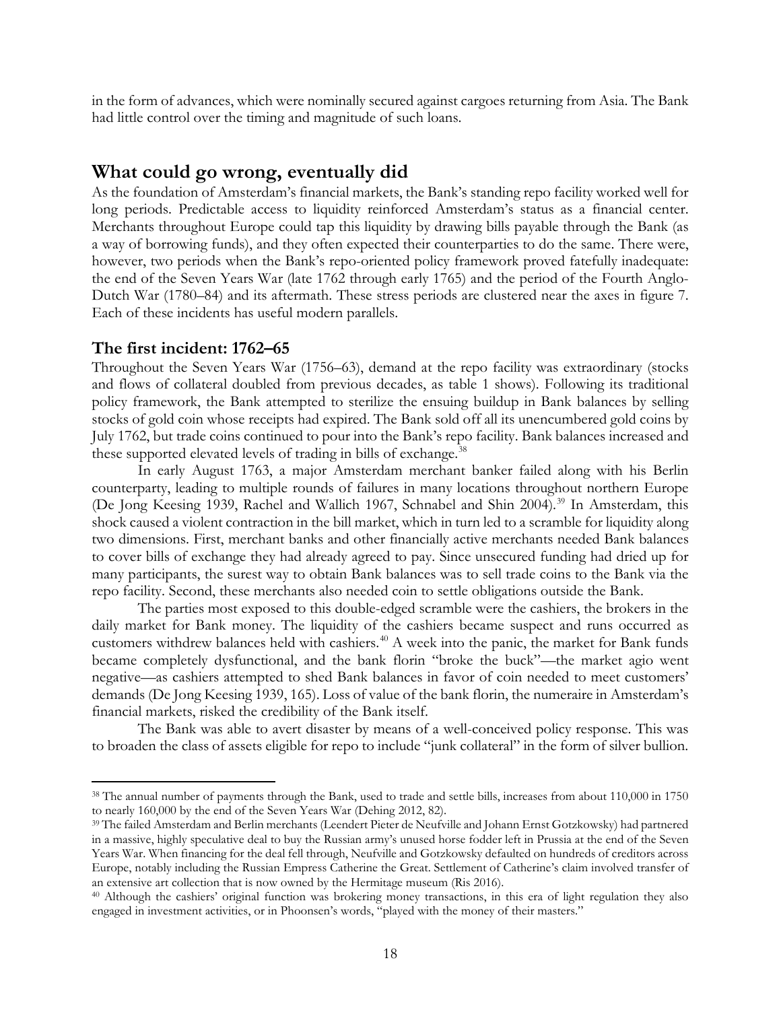in the form of advances, which were nominally secured against cargoes returning from Asia. The Bank had little control over the timing and magnitude of such loans.

## **What could go wrong, eventually did**

As the foundation of Amsterdam's financial markets, the Bank's standing repo facility worked well for long periods. Predictable access to liquidity reinforced Amsterdam's status as a financial center. Merchants throughout Europe could tap this liquidity by drawing bills payable through the Bank (as a way of borrowing funds), and they often expected their counterparties to do the same. There were, however, two periods when the Bank's repo-oriented policy framework proved fatefully inadequate: the end of the Seven Years War (late 1762 through early 1765) and the period of the Fourth Anglo-Dutch War (1780–84) and its aftermath. These stress periods are clustered near the axes in figure 7. Each of these incidents has useful modern parallels.

#### **The first incident: 1762–65**

 $\overline{a}$ 

Throughout the Seven Years War (1756–63), demand at the repo facility was extraordinary (stocks and flows of collateral doubled from previous decades, as table 1 shows). Following its traditional policy framework, the Bank attempted to sterilize the ensuing buildup in Bank balances by selling stocks of gold coin whose receipts had expired. The Bank sold off all its unencumbered gold coins by July 1762, but trade coins continued to pour into the Bank's repo facility. Bank balances increased and these supported elevated levels of trading in bills of exchange.<sup>[38](#page-18-0)</sup>

In early August 1763, a major Amsterdam merchant banker failed along with his Berlin counterparty, leading to multiple rounds of failures in many locations throughout northern Europe (De Jong Keesing 19[39](#page-18-1), Rachel and Wallich 1967, Schnabel and Shin 2004).<sup>39</sup> In Amsterdam, this shock caused a violent contraction in the bill market, which in turn led to a scramble for liquidity along two dimensions. First, merchant banks and other financially active merchants needed Bank balances to cover bills of exchange they had already agreed to pay. Since unsecured funding had dried up for many participants, the surest way to obtain Bank balances was to sell trade coins to the Bank via the repo facility. Second, these merchants also needed coin to settle obligations outside the Bank.

The parties most exposed to this double-edged scramble were the cashiers, the brokers in the daily market for Bank money. The liquidity of the cashiers became suspect and runs occurred as customers withdrew balances held with cashiers.<sup>[40](#page-18-2)</sup> A week into the panic, the market for Bank funds became completely dysfunctional, and the bank florin "broke the buck"—the market agio went negative—as cashiers attempted to shed Bank balances in favor of coin needed to meet customers' demands (De Jong Keesing 1939, 165). Loss of value of the bank florin, the numeraire in Amsterdam's financial markets, risked the credibility of the Bank itself.

The Bank was able to avert disaster by means of a well-conceived policy response. This was to broaden the class of assets eligible for repo to include "junk collateral" in the form of silver bullion.

<span id="page-18-0"></span><sup>38</sup> The annual number of payments through the Bank, used to trade and settle bills, increases from about 110,000 in 1750 to nearly 160,000 by the end of the Seven Years War (Dehing 2012, 82).

<span id="page-18-1"></span><sup>39</sup> The failed Amsterdam and Berlin merchants (Leendert Pieter de Neufville and Johann Ernst Gotzkowsky) had partnered in a massive, highly speculative deal to buy the Russian army's unused horse fodder left in Prussia at the end of the Seven Years War. When financing for the deal fell through, Neufville and Gotzkowsky defaulted on hundreds of creditors across Europe, notably including the Russian Empress Catherine the Great. Settlement of Catherine's claim involved transfer of an extensive art collection that is now owned by the Hermitage museum (Ris 2016).

<span id="page-18-2"></span><sup>40</sup> Although the cashiers' original function was brokering money transactions, in this era of light regulation they also engaged in investment activities, or in Phoonsen's words, "played with the money of their masters."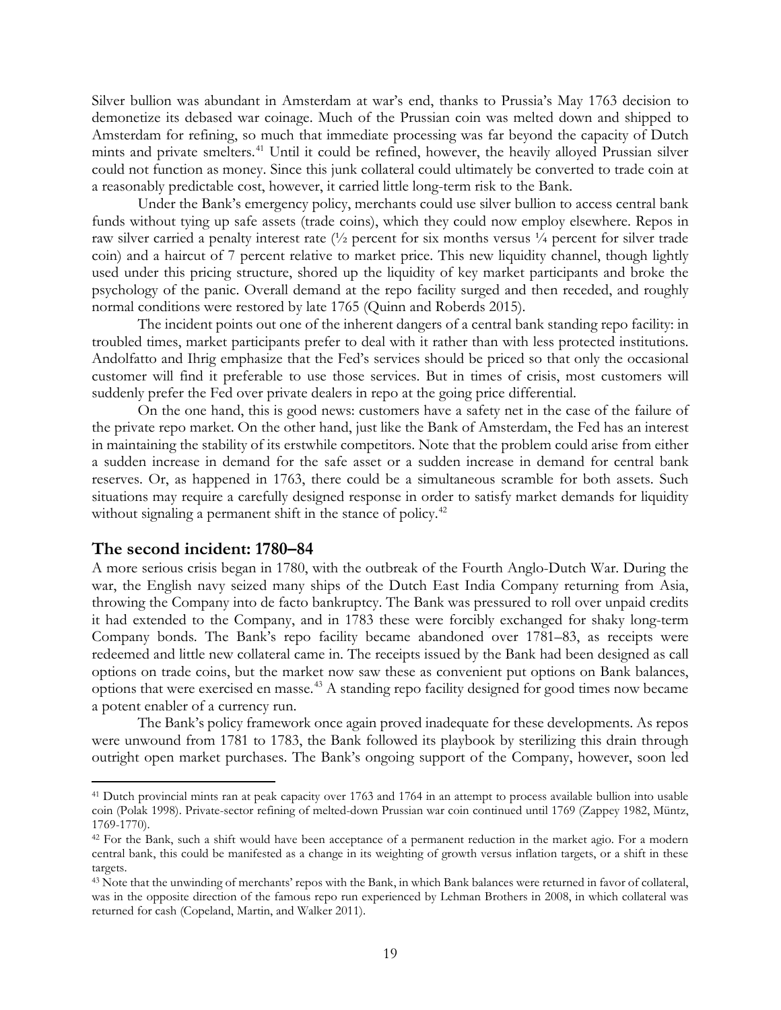Silver bullion was abundant in Amsterdam at war's end, thanks to Prussia's May 1763 decision to demonetize its debased war coinage. Much of the Prussian coin was melted down and shipped to Amsterdam for refining, so much that immediate processing was far beyond the capacity of Dutch mints and private smelters.<sup>[41](#page-19-0)</sup> Until it could be refined, however, the heavily alloyed Prussian silver could not function as money. Since this junk collateral could ultimately be converted to trade coin at a reasonably predictable cost, however, it carried little long-term risk to the Bank.

Under the Bank's emergency policy, merchants could use silver bullion to access central bank funds without tying up safe assets (trade coins), which they could now employ elsewhere. Repos in raw silver carried a penalty interest rate (½ percent for six months versus ¼ percent for silver trade coin) and a haircut of 7 percent relative to market price. This new liquidity channel, though lightly used under this pricing structure, shored up the liquidity of key market participants and broke the psychology of the panic. Overall demand at the repo facility surged and then receded, and roughly normal conditions were restored by late 1765 (Quinn and Roberds 2015).

The incident points out one of the inherent dangers of a central bank standing repo facility: in troubled times, market participants prefer to deal with it rather than with less protected institutions. Andolfatto and Ihrig emphasize that the Fed's services should be priced so that only the occasional customer will find it preferable to use those services. But in times of crisis, most customers will suddenly prefer the Fed over private dealers in repo at the going price differential.

On the one hand, this is good news: customers have a safety net in the case of the failure of the private repo market. On the other hand, just like the Bank of Amsterdam, the Fed has an interest in maintaining the stability of its erstwhile competitors. Note that the problem could arise from either a sudden increase in demand for the safe asset or a sudden increase in demand for central bank reserves. Or, as happened in 1763, there could be a simultaneous scramble for both assets. Such situations may require a carefully designed response in order to satisfy market demands for liquidity without signaling a permanent shift in the stance of policy.<sup>[42](#page-19-1)</sup>

#### **The second incident: 1780–84**

 $\overline{a}$ 

A more serious crisis began in 1780, with the outbreak of the Fourth Anglo-Dutch War. During the war, the English navy seized many ships of the Dutch East India Company returning from Asia, throwing the Company into de facto bankruptcy. The Bank was pressured to roll over unpaid credits it had extended to the Company, and in 1783 these were forcibly exchanged for shaky long-term Company bonds. The Bank's repo facility became abandoned over 1781–83, as receipts were redeemed and little new collateral came in. The receipts issued by the Bank had been designed as call options on trade coins, but the market now saw these as convenient put options on Bank balances, options that were exercised en masse.[43](#page-19-2) A standing repo facility designed for good times now became a potent enabler of a currency run.

The Bank's policy framework once again proved inadequate for these developments. As repos were unwound from 1781 to 1783, the Bank followed its playbook by sterilizing this drain through outright open market purchases. The Bank's ongoing support of the Company, however, soon led

<span id="page-19-0"></span><sup>41</sup> Dutch provincial mints ran at peak capacity over 1763 and 1764 in an attempt to process available bullion into usable coin (Polak 1998). Private-sector refining of melted-down Prussian war coin continued until 1769 (Zappey 1982, Müntz, 1769-1770).

<span id="page-19-1"></span><sup>&</sup>lt;sup>42</sup> For the Bank, such a shift would have been acceptance of a permanent reduction in the market agio. For a modern central bank, this could be manifested as a change in its weighting of growth versus inflation targets, or a shift in these targets.

<span id="page-19-2"></span><sup>43</sup> Note that the unwinding of merchants' repos with the Bank, in which Bank balances were returned in favor of collateral, was in the opposite direction of the famous repo run experienced by Lehman Brothers in 2008, in which collateral was returned for cash (Copeland, Martin, and Walker 2011).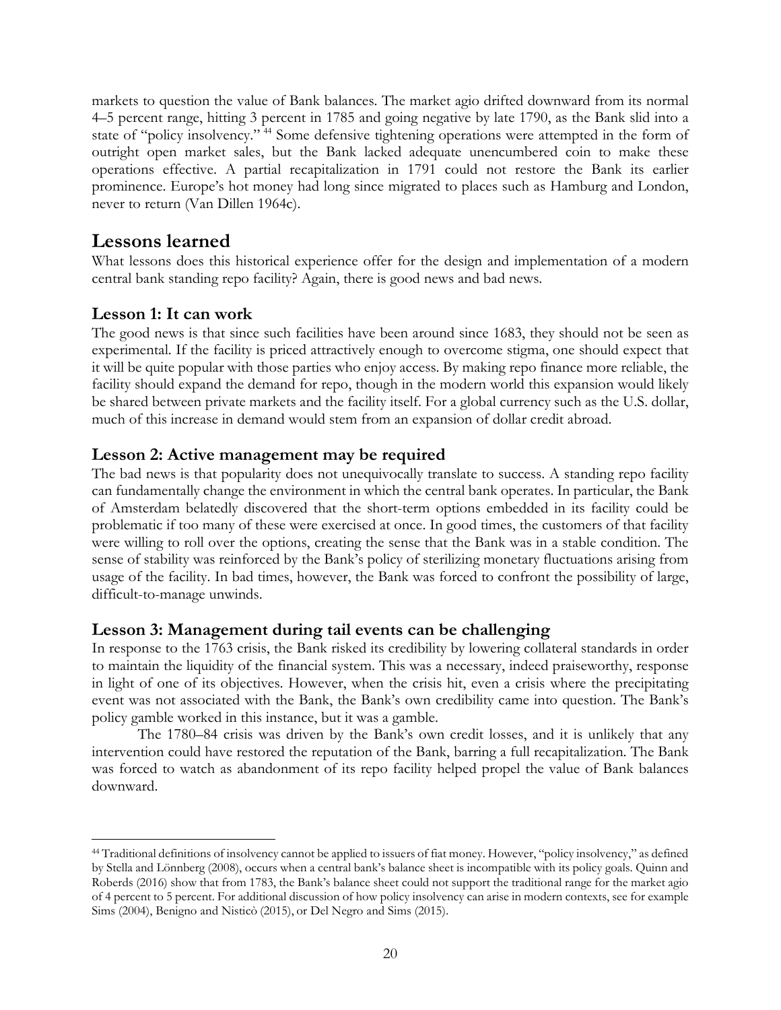markets to question the value of Bank balances. The market agio drifted downward from its normal 4–5 percent range, hitting 3 percent in 1785 and going negative by late 1790, as the Bank slid into a state of "policy insolvency." <sup>[44](#page-20-0)</sup> Some defensive tightening operations were attempted in the form of outright open market sales, but the Bank lacked adequate unencumbered coin to make these operations effective. A partial recapitalization in 1791 could not restore the Bank its earlier prominence. Europe's hot money had long since migrated to places such as Hamburg and London, never to return (Van Dillen 1964c).

# **Lessons learned**

What lessons does this historical experience offer for the design and implementation of a modern central bank standing repo facility? Again, there is good news and bad news.

# **Lesson 1: It can work**

 $\overline{a}$ 

The good news is that since such facilities have been around since 1683, they should not be seen as experimental. If the facility is priced attractively enough to overcome stigma, one should expect that it will be quite popular with those parties who enjoy access. By making repo finance more reliable, the facility should expand the demand for repo, though in the modern world this expansion would likely be shared between private markets and the facility itself. For a global currency such as the U.S. dollar, much of this increase in demand would stem from an expansion of dollar credit abroad.

# **Lesson 2: Active management may be required**

The bad news is that popularity does not unequivocally translate to success. A standing repo facility can fundamentally change the environment in which the central bank operates. In particular, the Bank of Amsterdam belatedly discovered that the short-term options embedded in its facility could be problematic if too many of these were exercised at once. In good times, the customers of that facility were willing to roll over the options, creating the sense that the Bank was in a stable condition. The sense of stability was reinforced by the Bank's policy of sterilizing monetary fluctuations arising from usage of the facility. In bad times, however, the Bank was forced to confront the possibility of large, difficult-to-manage unwinds.

# **Lesson 3: Management during tail events can be challenging**

In response to the 1763 crisis, the Bank risked its credibility by lowering collateral standards in order to maintain the liquidity of the financial system. This was a necessary, indeed praiseworthy, response in light of one of its objectives. However, when the crisis hit, even a crisis where the precipitating event was not associated with the Bank, the Bank's own credibility came into question. The Bank's policy gamble worked in this instance, but it was a gamble.

The 1780–84 crisis was driven by the Bank's own credit losses, and it is unlikely that any intervention could have restored the reputation of the Bank, barring a full recapitalization. The Bank was forced to watch as abandonment of its repo facility helped propel the value of Bank balances downward.

<span id="page-20-0"></span><sup>44</sup> Traditional definitions of insolvency cannot be applied to issuers of fiat money. However, "policy insolvency," as defined by Stella and Lönnberg (2008), occurs when a central bank's balance sheet is incompatible with its policy goals. Quinn and Roberds (2016) show that from 1783, the Bank's balance sheet could not support the traditional range for the market agio of 4 percent to 5 percent. For additional discussion of how policy insolvency can arise in modern contexts, see for example Sims (2004), Benigno and Nisticò (2015), or Del Negro and Sims (2015).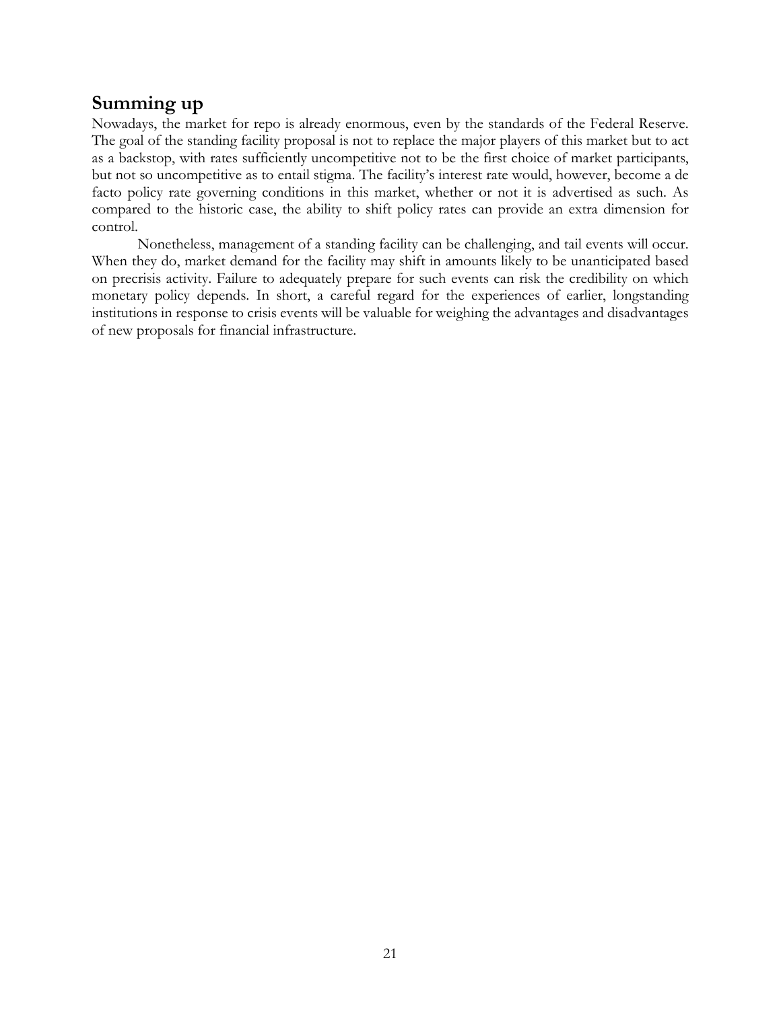# **Summing up**

Nowadays, the market for repo is already enormous, even by the standards of the Federal Reserve. The goal of the standing facility proposal is not to replace the major players of this market but to act as a backstop, with rates sufficiently uncompetitive not to be the first choice of market participants, but not so uncompetitive as to entail stigma. The facility's interest rate would, however, become a de facto policy rate governing conditions in this market, whether or not it is advertised as such. As compared to the historic case, the ability to shift policy rates can provide an extra dimension for control.

Nonetheless, management of a standing facility can be challenging, and tail events will occur. When they do, market demand for the facility may shift in amounts likely to be unanticipated based on precrisis activity. Failure to adequately prepare for such events can risk the credibility on which monetary policy depends. In short, a careful regard for the experiences of earlier, longstanding institutions in response to crisis events will be valuable for weighing the advantages and disadvantages of new proposals for financial infrastructure.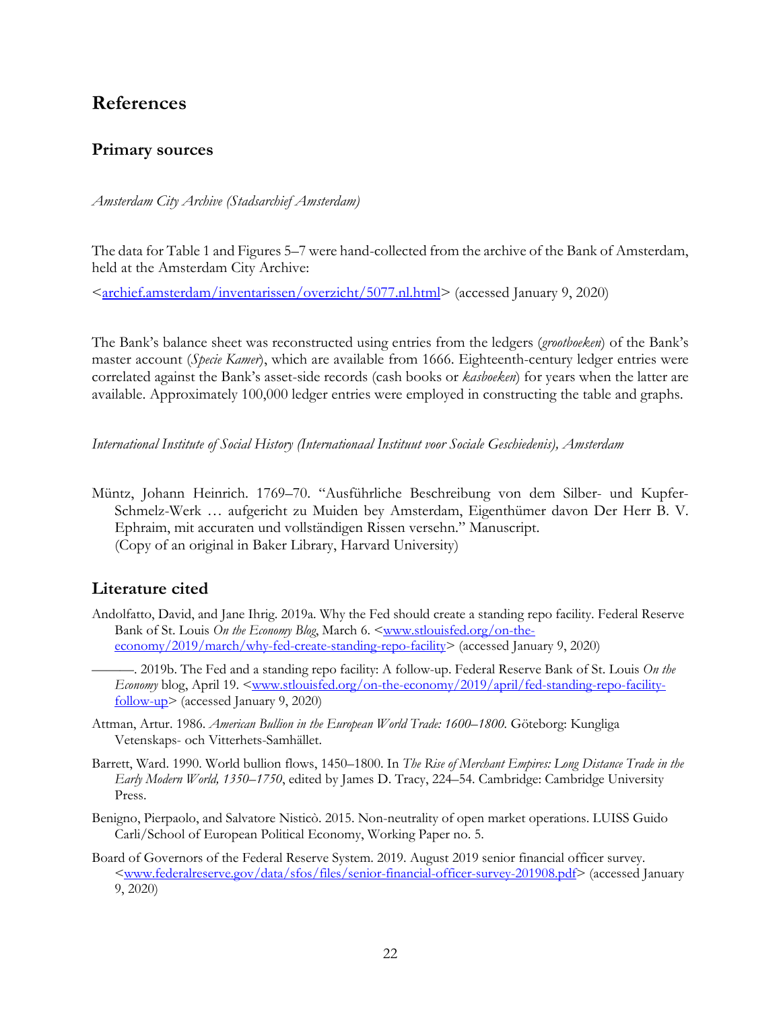# **References**

## **Primary sources**

#### *Amsterdam City Archive (Stadsarchief Amsterdam)*

The data for Table 1 and Figures 5–7 were hand-collected from the archive of the Bank of Amsterdam, held at the Amsterdam City Archive:

[<archief.amsterdam/inventarissen/overzicht/5077.nl.html>](https://archief.amsterdam/inventarissen/overzicht/5077.nl.html) (accessed January 9, 2020)

The Bank's balance sheet was reconstructed using entries from the ledgers (*grootboeken*) of the Bank's master account (*Specie Kamer*), which are available from 1666. Eighteenth-century ledger entries were correlated against the Bank's asset-side records (cash books or *kasboeken*) for years when the latter are available. Approximately 100,000 ledger entries were employed in constructing the table and graphs.

*International Institute of Social History (Internationaal Instituut voor Sociale Geschiedenis), Amsterdam*

Müntz, Johann Heinrich. 1769–70. "Ausführliche Beschreibung von dem Silber- und Kupfer-Schmelz-Werk … aufgericht zu Muiden bey Amsterdam, Eigenthümer davon Der Herr B. V. Ephraim, mit accuraten und vollständigen Rissen versehn." Manuscript. (Copy of an original in Baker Library, Harvard University)

# **Literature cited**

Andolfatto, David, and Jane Ihrig. 2019a. Why the Fed should create a standing repo facility. Federal Reserve Bank of St. Louis *On the Economy Blog*, March 6. <<u>www.stlouisfed.org/on-the-</u> [economy/2019/march/why-fed-create-standing-repo-facility>](http://www.stlouisfed.org/on-the-economy/2019/march/why-fed-create-standing-repo-facility) (accessed January 9, 2020)

———. 2019b. The Fed and a standing repo facility: A follow-up. Federal Reserve Bank of St. Louis *On the Economy* blog, April 19. <<u>www.stlouisfed.org/on-the-economy/2019/april/fed-standing-repo-facility-</u> [follow-up>](http://www.stlouisfed.org/on-the-economy/2019/april/fed-standing-repo-facility-follow-up) (accessed January 9, 2020)

Attman, Artur. 1986. *American Bullion in the European World Trade: 1600–1800.* Göteborg: Kungliga Vetenskaps- och Vitterhets-Samhället.

- Barrett, Ward. 1990. World bullion flows, 1450–1800. In *The Rise of Merchant Empires: Long Distance Trade in the Early Modern World, 1350–1750*, edited by James D. Tracy, 224–54. Cambridge: Cambridge University Press.
- Benigno, Pierpaolo, and Salvatore Nisticò. 2015. Non-neutrality of open market operations. LUISS Guido Carli/School of European Political Economy, Working Paper no. 5.
- Board of Governors of the Federal Reserve System. 2019. August 2019 senior financial officer survey. [<www.federalreserve.gov/data/sfos/files/senior-financial-officer-survey-201908.pdf>](http://www.federalreserve.gov/data/sfos/files/senior-financial-officer-survey-201908.pdf) (accessed January 9, 2020)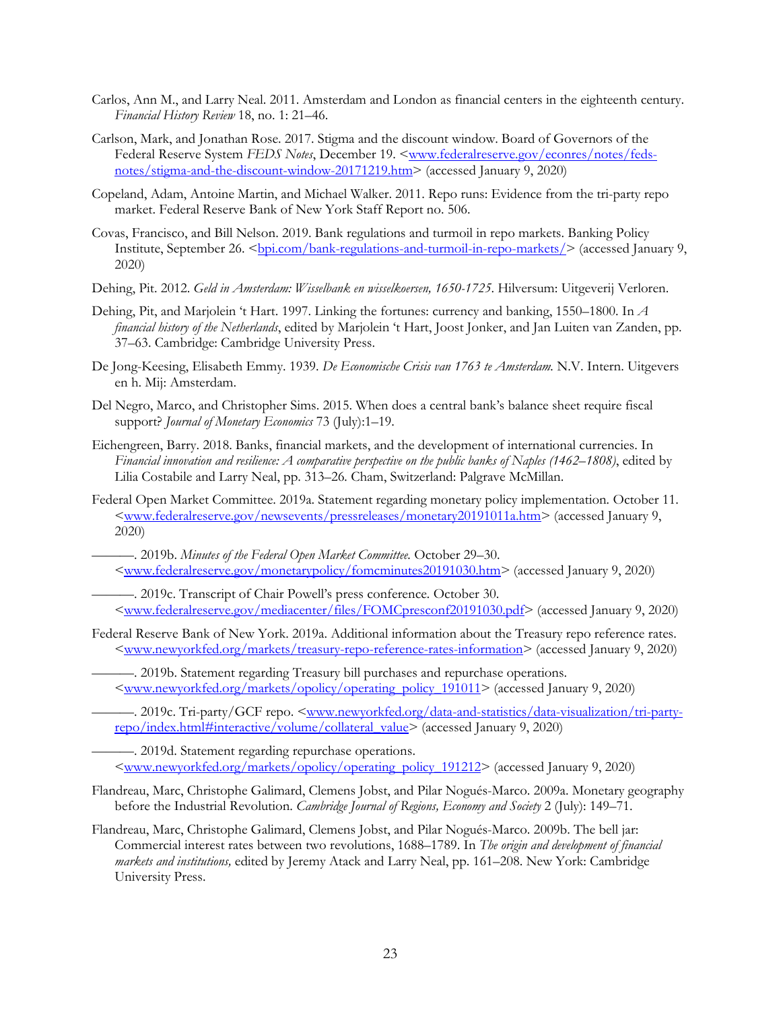- Carlos, Ann M., and Larry Neal. 2011. Amsterdam and London as financial centers in the eighteenth century. *Financial History Review* 18, no. 1: 21–46.
- Carlson, Mark, and Jonathan Rose. 2017. Stigma and the discount window. Board of Governors of the Federal Reserve System *FEDS Notes*, December 19. <<u>www.federalreserve.gov/econres/notes/feds-</u> [notes/stigma-and-the-discount-window-20171219.htm>](http://www.federalreserve.gov/econres/notes/feds-notes/stigma-and-the-discount-window-20171219.htm) (accessed January 9, 2020)
- Copeland, Adam, Antoine Martin, and Michael Walker. 2011. Repo runs: Evidence from the tri-party repo market. Federal Reserve Bank of New York Staff Report no. 506.
- Covas, Francisco, and Bill Nelson. 2019. Bank regulations and turmoil in repo markets. Banking Policy Institute, September 26. <br/> $\frac{\text{Spin.com}}{\text{bank-regulations-and-turnoil-in-repo-markets}}$  (accessed January 9, 2020)
- Dehing, Pit. 2012. *Geld in Amsterdam: Wisselbank en wisselkoersen, 1650-1725*. Hilversum: Uitgeverij Verloren.
- Dehing, Pit, and Marjolein 't Hart. 1997. Linking the fortunes: currency and banking, 1550–1800. In *A financial history of the Netherlands*, edited by Marjolein 't Hart, Joost Jonker, and Jan Luiten van Zanden, pp. 37–63. Cambridge: Cambridge University Press.
- De Jong-Keesing, Elisabeth Emmy. 1939. *De Economische Crisis van 1763 te Amsterdam.* N.V. Intern. Uitgevers en h. Mij: Amsterdam.
- Del Negro, Marco, and Christopher Sims. 2015. When does a central bank's balance sheet require fiscal support? *Journal of Monetary Economics* 73 (July):1–19.
- Eichengreen, Barry. 2018. Banks, financial markets, and the development of international currencies. In *Financial innovation and resilience: A comparative perspective on the public banks of Naples (1462–1808)*, edited by Lilia Costabile and Larry Neal, pp. 313–26*.* Cham, Switzerland: Palgrave McMillan.
- Federal Open Market Committee. 2019a. Statement regarding monetary policy implementation*.* October 11. [<www.federalreserve.gov/newsevents/pressreleases/monetary20191011a.htm>](http://www.federalreserve.gov/newsevents/pressreleases/monetary20191011a.htm) (accessed January 9, 2020)
	- ———. 2019b. *Minutes of the Federal Open Market Committee.* October 29–30. [<www.federalreserve.gov/monetarypolicy/fomcminutes20191030.htm>](http://www.federalreserve.gov/monetarypolicy/fomcminutes20191030.htm) (accessed January 9, 2020)
- ———. 2019c. Transcript of Chair Powell's press conference*.* October 30. [<www.federalreserve.gov/mediacenter/files/FOMCpresconf20191030.pdf>](http://www.federalreserve.gov/mediacenter/files/FOMCpresconf20191030.pdf) (accessed January 9, 2020)
- Federal Reserve Bank of New York. 2019a. Additional information about the Treasury repo reference rates. [<www.newyorkfed.org/markets/treasury-repo-reference-rates-information>](http://www.newyorkfed.org/markets/treasury-repo-reference-rates-information) (accessed January 9, 2020)
	- ———. 2019b. Statement regarding Treasury bill purchases and repurchase operations. <www.newyorkfed.org/markets/opolicy/operating\_policy\_191011> (accessed January 9, 2020)
	- 2019c. Tri-party/GCF repo. [<www.newyorkfed.org/data-and-statistics/data-visualization/tri-party](http://www.newyorkfed.org/data-and-statistics/data-visualization/tri-party-repo/index.html#interactive/volume/collateral_value)[repo/index.html#interactive/volume/collateral\\_value>](http://www.newyorkfed.org/data-and-statistics/data-visualization/tri-party-repo/index.html#interactive/volume/collateral_value) (accessed January 9, 2020)
	- -. 2019d. Statement regarding repurchase operations. [<www.newyorkfed.org/markets/opolicy/operating\\_policy\\_191212>](http://www.newyorkfed.org/markets/opolicy/operating_policy_191212) (accessed January 9, 2020)
- Flandreau, Marc, Christophe Galimard, Clemens Jobst, and Pilar Nogués-Marco. 2009a. Monetary geography before the Industrial Revolution. *Cambridge Journal of Regions, Economy and Society* 2 (July): 149–71.
- Flandreau, Marc, Christophe Galimard, Clemens Jobst, and Pilar Nogués-Marco. 2009b. The bell jar: Commercial interest rates between two revolutions, 1688–1789. In *The origin and development of financial markets and institutions,* edited by Jeremy Atack and Larry Neal, pp. 161–208. New York: Cambridge University Press.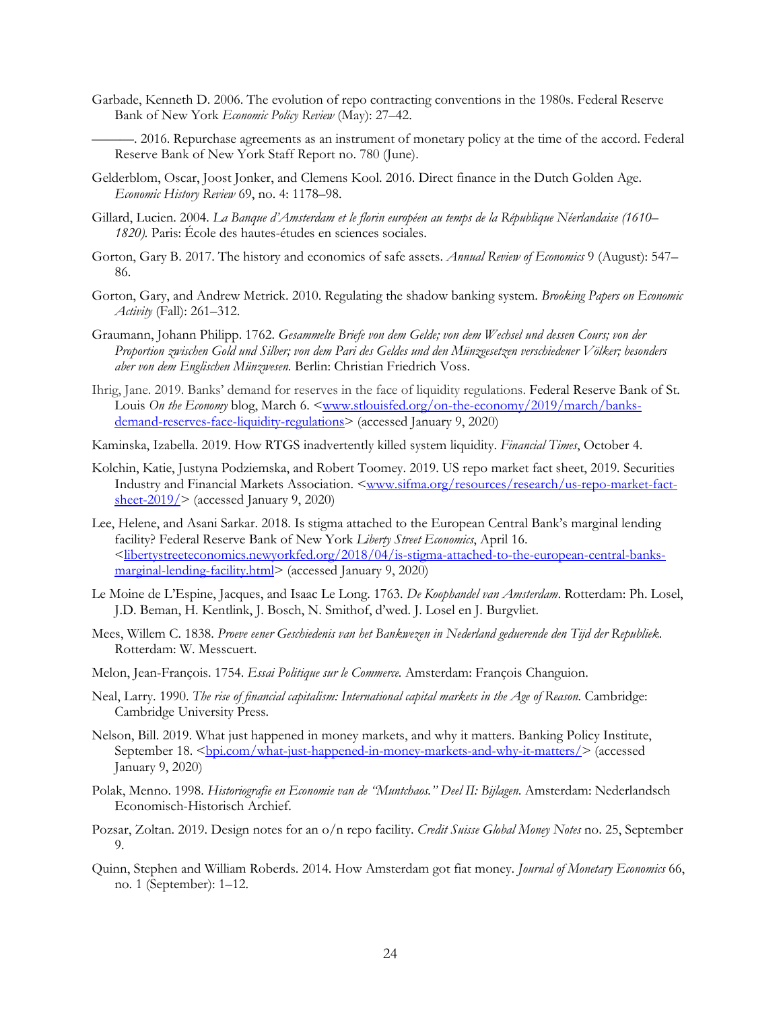- Garbade, Kenneth D. 2006. The evolution of repo contracting conventions in the 1980s. Federal Reserve Bank of New York *Economic Policy Review* (May): 27–42.
	- ———. 2016. Repurchase agreements as an instrument of monetary policy at the time of the accord. Federal Reserve Bank of New York Staff Report no. 780 (June).
- Gelderblom, Oscar, Joost Jonker, and Clemens Kool. 2016. Direct finance in the Dutch Golden Age. *Economic History Review* 69, no. 4: 1178–98.
- Gillard, Lucien. 2004. *La Banque d'Amsterdam et le florin européen au temps de la République Néerlandaise (1610 1820).* Paris: École des hautes-études en sciences sociales.
- Gorton, Gary B. 2017. The history and economics of safe assets. *Annual Review of Economics* 9 (August): 547– 86.
- Gorton, Gary, and Andrew Metrick. 2010. Regulating the shadow banking system. *Brooking Papers on Economic Activity* (Fall): 261–312.
- Graumann, Johann Philipp. 1762. *Gesammelte Briefe von dem Gelde; von dem Wechsel und dessen Cours; von der Proportion zwischen Gold und Silber; von dem Pari des Geldes und den Münzgesetzen verschiedener Völker; besonders aber von dem Englischen Münzwesen.* Berlin: Christian Friedrich Voss.
- Ihrig, Jane. 2019. Banks' demand for reserves in the face of liquidity regulations. Federal Reserve Bank of St. Louis *On the Economy* blog, March 6. [<www.stlouisfed.org/on-the-economy/2019/march/banks](http://www.stlouisfed.org/on-the-economy/2019/march/banks-demand-reserves-face-liquidity-regulations)[demand-reserves-face-liquidity-regulations>](http://www.stlouisfed.org/on-the-economy/2019/march/banks-demand-reserves-face-liquidity-regulations) (accessed January 9, 2020)

Kaminska, Izabella. 2019. How RTGS inadvertently killed system liquidity. *Financial Times*, October 4.

- Kolchin, Katie, Justyna Podziemska, and Robert Toomey. 2019. US repo market fact sheet, 2019*.* Securities Industry and Financial Markets Association. <**www.sifma.org/resources/research/us-repo-market-fact**sheet- $2019$ / $>$  (accessed January 9, 2020)
- Lee, Helene, and Asani Sarkar. 2018. Is stigma attached to the European Central Bank's marginal lending facility? Federal Reserve Bank of New York *Liberty Street Economics*, April 16. [<libertystreeteconomics.newyorkfed.org/2018/04/is-stigma-attached-to-the-european-central-banks](https://libertystreeteconomics.newyorkfed.org/2018/04/is-stigma-attached-to-the-european-central-banks-marginal-lending-facility.html)[marginal-lending-facility.html>](https://libertystreeteconomics.newyorkfed.org/2018/04/is-stigma-attached-to-the-european-central-banks-marginal-lending-facility.html) (accessed January 9, 2020)
- Le Moine de L'Espine, Jacques, and Isaac Le Long. 1763. *De Koophandel van Amsterdam*. Rotterdam: Ph. Losel, J.D. Beman, H. Kentlink, J. Bosch, N. Smithof, d'wed. J. Losel en J. Burgvliet.
- Mees, Willem C. 1838. *Proeve eener Geschiedenis van het Bankwezen in Nederland geduerende den Tijd der Republiek.*  Rotterdam: W. Messcuert.
- Melon, Jean-François. 1754. *Essai Politique sur le Commerce.* Amsterdam: François Changuion.
- Neal, Larry. 1990. *The rise of financial capitalism: International capital markets in the Age of Reason.* Cambridge: Cambridge University Press.
- Nelson, Bill. 2019. What just happened in money markets, and why it matters. Banking Policy Institute, September 18. <br/> $\leq$  \bin\_com/what-just-happened-in-money-markets-and-why-it-matters/> (accessed January 9, 2020)
- Polak, Menno. 1998. *Historiografie en Economie van de "Muntchaos." Deel II: Bijlagen*. Amsterdam: Nederlandsch Economisch-Historisch Archief.
- Pozsar, Zoltan. 2019. Design notes for an o/n repo facility. *Credit Suisse Global Money Notes* no. 25, September 9.
- Quinn, Stephen and William Roberds. 2014. How Amsterdam got fiat money. *Journal of Monetary Economics* 66, no. 1 (September): 1–12.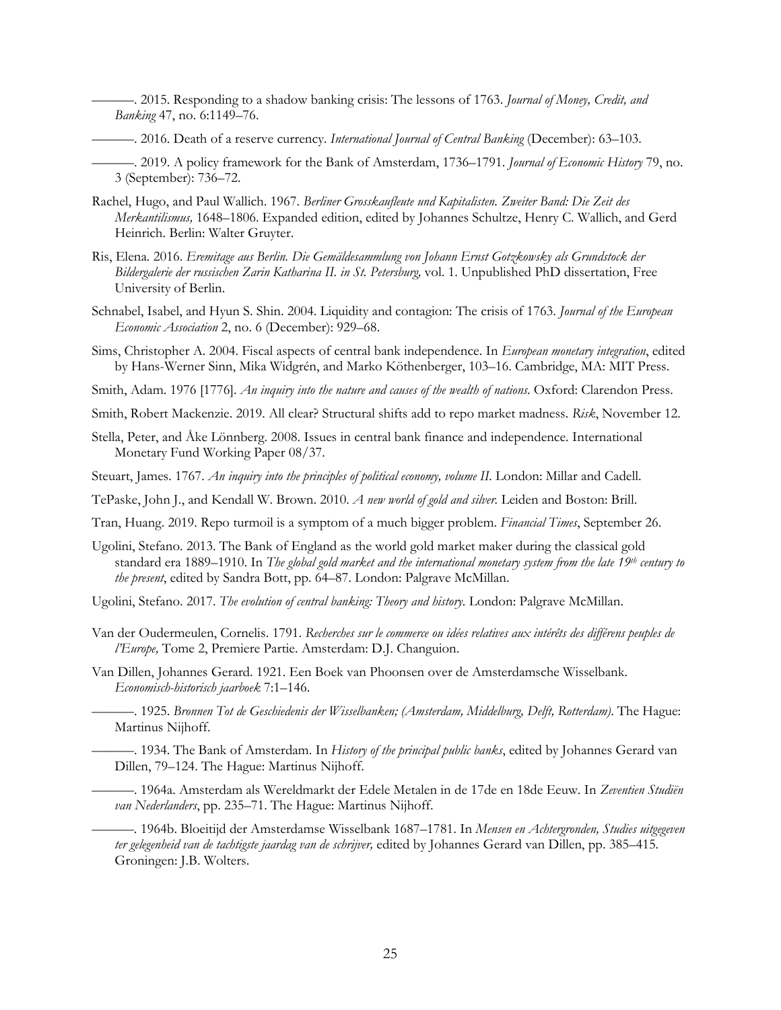———. 2015. Responding to a shadow banking crisis: The lessons of 1763. *Journal of Money, Credit, and Banking* 47, no. 6:1149–76.

———. 2016. Death of a reserve currency. *International Journal of Central Banking* (December): 63–103.

- ———. 2019. A policy framework for the Bank of Amsterdam, 1736–1791. *Journal of Economic History* 79, no. 3 (September): 736–72.
- Rachel, Hugo, and Paul Wallich. 1967. *Berliner Grosskaufleute und Kapitalisten. Zweiter Band: Die Zeit des Merkantilismus,* 1648–1806. Expanded edition, edited by Johannes Schultze, Henry C. Wallich, and Gerd Heinrich. Berlin: Walter Gruyter.
- Ris, Elena. 2016. *Eremitage aus Berlin. Die Gemäldesammlung von Johann Ernst Gotzkowsky als Grundstock der Bildergalerie der russischen Zarin Katharina II. in St. Petersburg,* vol. 1. Unpublished PhD dissertation, Free University of Berlin.
- Schnabel, Isabel, and Hyun S. Shin. 2004. Liquidity and contagion: The crisis of 1763. *Journal of the European Economic Association* 2, no. 6 (December): 929–68.
- Sims, Christopher A. 2004. Fiscal aspects of central bank independence. In *European monetary integration*, edited by Hans-Werner Sinn, Mika Widgrén, and Marko Köthenberger, 103–16. Cambridge, MA: MIT Press.
- Smith, Adam. 1976 [1776]. *An inquiry into the nature and causes of the wealth of nations*. Oxford: Clarendon Press.
- Smith, Robert Mackenzie. 2019. All clear? Structural shifts add to repo market madness. *Risk*, November 12.
- Stella, Peter, and Åke Lönnberg. 2008. Issues in central bank finance and independence. International Monetary Fund Working Paper 08/37.
- Steuart, James. 1767. *An inquiry into the principles of political economy, volume II*. London: Millar and Cadell.
- TePaske, John J., and Kendall W. Brown. 2010. *A new world of gold and silver.* Leiden and Boston: Brill.
- Tran, Huang. 2019. Repo turmoil is a symptom of a much bigger problem. *Financial Times*, September 26.
- Ugolini, Stefano. 2013. The Bank of England as the world gold market maker during the classical gold standard era 1889–1910. In *The global gold market and the international monetary system from the late 19th century to the present*, edited by Sandra Bott, pp. 64–87. London: Palgrave McMillan.
- Ugolini, Stefano. 2017. *The evolution of central banking: Theory and history.* London: Palgrave McMillan.
- Van der Oudermeulen, Cornelis. 1791. *Recherches sur le commerce ou idées relatives aux intérêts des différens peuples de l'Europe,* Tome 2, Premiere Partie. Amsterdam: D.J. Changuion.
- Van Dillen, Johannes Gerard. 1921. Een Boek van Phoonsen over de Amsterdamsche Wisselbank. *Economisch-historisch jaarboek* 7:1–146.
	- ———. 1925. *Bronnen Tot de Geschiedenis der Wisselbanken; (Amsterdam, Middelburg, Delft, Rotterdam)*. The Hague: Martinus Nijhoff.
	- ———. 1934. The Bank of Amsterdam. In *History of the principal public banks*, edited by Johannes Gerard van Dillen, 79–124. The Hague: Martinus Nijhoff.
	- ———. 1964a. Amsterdam als Wereldmarkt der Edele Metalen in de 17de en 18de Eeuw. In *Zeventien Studiën van Nederlanders*, pp. 235–71. The Hague: Martinus Nijhoff.

———. 1964b. Bloeitijd der Amsterdamse Wisselbank 1687–1781. In *Mensen en Achtergronden, Studies uitgegeven ter gelegenheid van de tachtigste jaardag van de schrijver,* edited by Johannes Gerard van Dillen, pp. 385–415*.*  Groningen: J.B. Wolters.